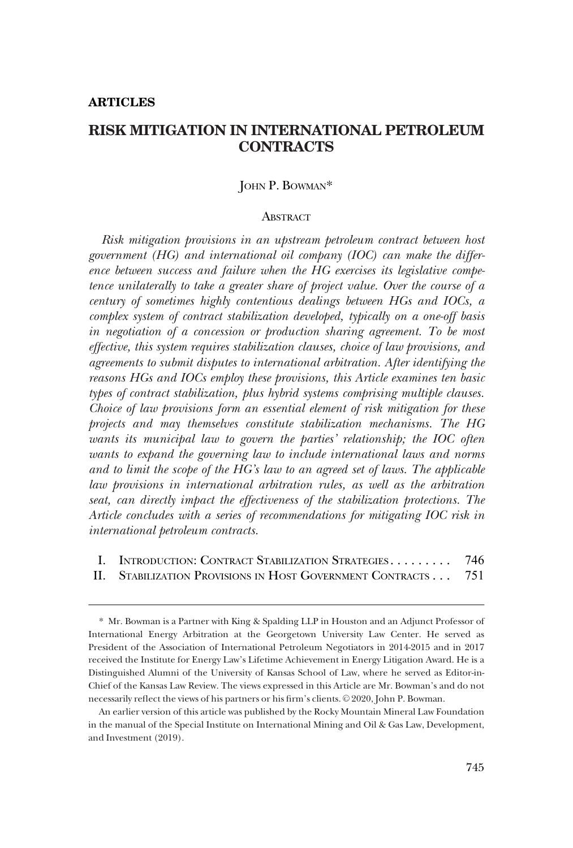#### **ARTICLES**

# **RISK MITIGATION IN INTERNATIONAL PETROLEUM CONTRACTS**

## JOHN P. BOWMAN\*

#### ABSTRACT

*Risk mitigation provisions in an upstream petroleum contract between host government (HG) and international oil company (IOC) can make the difference between success and failure when the HG exercises its legislative competence unilaterally to take a greater share of project value. Over the course of a century of sometimes highly contentious dealings between HGs and IOCs, a complex system of contract stabilization developed, typically on a one-off basis in negotiation of a concession or production sharing agreement. To be most effective, this system requires stabilization clauses, choice of law provisions, and agreements to submit disputes to international arbitration. After identifying the reasons HGs and IOCs employ these provisions, this Article examines ten basic types of contract stabilization, plus hybrid systems comprising multiple clauses. Choice of law provisions form an essential element of risk mitigation for these projects and may themselves constitute stabilization mechanisms. The HG wants its municipal law to govern the parties' relationship; the IOC often wants to expand the governing law to include international laws and norms and to limit the scope of the HG's law to an agreed set of laws. The applicable law provisions in international arbitration rules, as well as the arbitration seat, can directly impact the effectiveness of the stabilization protections. The Article concludes with a series of recommendations for mitigating IOC risk in international petroleum contracts.* 

| I. INTRODUCTION: CONTRACT STABILIZATION STRATEGIES            | 746 |
|---------------------------------------------------------------|-----|
| II. STABILIZATION PROVISIONS IN HOST GOVERNMENT CONTRACTS 751 |     |

<sup>\*</sup> Mr. Bowman is a Partner with King & Spalding LLP in Houston and an Adjunct Professor of International Energy Arbitration at the Georgetown University Law Center. He served as President of the Association of International Petroleum Negotiators in 2014-2015 and in 2017 received the Institute for Energy Law's Lifetime Achievement in Energy Litigation Award. He is a Distinguished Alumni of the University of Kansas School of Law, where he served as Editor-in-Chief of the Kansas Law Review. The views expressed in this Article are Mr. Bowman's and do not necessarily reflect the views of his partners or his firm's clients. © 2020, John P. Bowman.

An earlier version of this article was published by the Rocky Mountain Mineral Law Foundation in the manual of the Special Institute on International Mining and Oil & Gas Law, Development, and Investment (2019).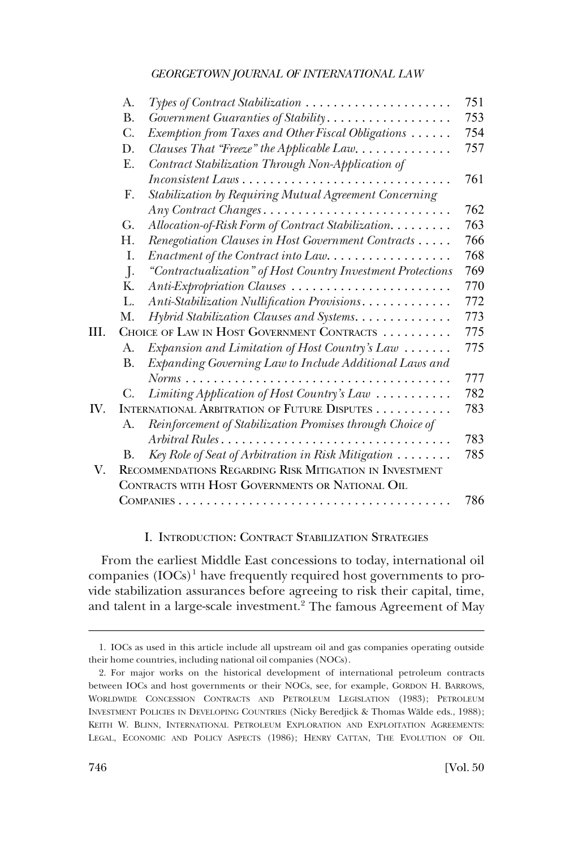<span id="page-1-0"></span>

|      | A.        |                                                                    | 751 |
|------|-----------|--------------------------------------------------------------------|-----|
|      | <b>B.</b> | Government Guaranties of Stability                                 | 753 |
|      | C.        | Exemption from Taxes and Other Fiscal Obligations                  | 754 |
|      | D.        | Clauses That "Freeze" the Applicable Law                           | 757 |
|      | Ε.        | Contract Stabilization Through Non-Application of                  |     |
|      |           |                                                                    | 761 |
|      | F.        | Stabilization by Requiring Mutual Agreement Concerning             |     |
|      |           | Any Contract Changes                                               | 762 |
|      | G.        | Allocation-of-Risk Form of Contract Stabilization.                 | 763 |
|      | Н.        | Renegotiation Clauses in Host Government Contracts                 | 766 |
|      | I.        | Enactment of the Contract into Law                                 | 768 |
|      | $\cdot$   | "Contractualization" of Host Country Investment Protections        | 769 |
|      | Κ.        | Anti-Expropriation Clauses                                         | 770 |
|      | L.        | Anti-Stabilization Nullification Provisions                        | 772 |
|      | М.        | Hybrid Stabilization Clauses and Systems.                          | 773 |
| III. |           | CHOICE OF LAW IN HOST GOVERNMENT CONTRACTS                         | 775 |
|      | A.        | Expansion and Limitation of Host Country's Law                     | 775 |
|      | <b>B.</b> | Expanding Governing Law to Include Additional Laws and             |     |
|      |           | $Norms$                                                            | 777 |
|      | C.        | Limiting Application of Host Country's Law                         | 782 |
| IV.  |           | INTERNATIONAL ARBITRATION OF FUTURE DISPUTES                       | 783 |
|      | A.        | Reinforcement of Stabilization Promises through Choice of          |     |
|      |           | Arbitral Rules                                                     | 783 |
|      | В.        | Key Role of Seat of Arbitration in Risk Mitigation $\ldots \ldots$ | 785 |
| V.   |           | RECOMMENDATIONS REGARDING RISK MITIGATION IN INVESTMENT            |     |
|      |           | CONTRACTS WITH HOST GOVERNMENTS OR NATIONAL OIL                    |     |
|      |           |                                                                    | 786 |
|      |           |                                                                    |     |

## I. INTRODUCTION: CONTRACT STABILIZATION STRATEGIES

From the earliest Middle East concessions to today, international oil companies (IOCs)<sup>1</sup> have frequently required host governments to provide stabilization assurances before agreeing to risk their capital, time, and talent in a large-scale investment.2 The famous Agreement of May

<sup>1.</sup> IOCs as used in this article include all upstream oil and gas companies operating outside their home countries, including national oil companies (NOCs).

<sup>2.</sup> For major works on the historical development of international petroleum contracts between IOCs and host governments or their NOCs, see, for example, GORDON H. BARROWS, WORLDWIDE CONCESSION CONTRACTS AND PETROLEUM LEGISLATION (1983); PETROLEUM INVESTMENT POLICIES IN DEVELOPING COUNTRIES (Nicky Beredjick & Thomas Wälde eds., 1988); KEITH W. BLINN, INTERNATIONAL PETROLEUM EXPLORATION AND EXPLOITATION AGREEMENTS: LEGAL, ECONOMIC AND POLICY ASPECTS (1986); HENRY CATTAN, THE EVOLUTION OF OIL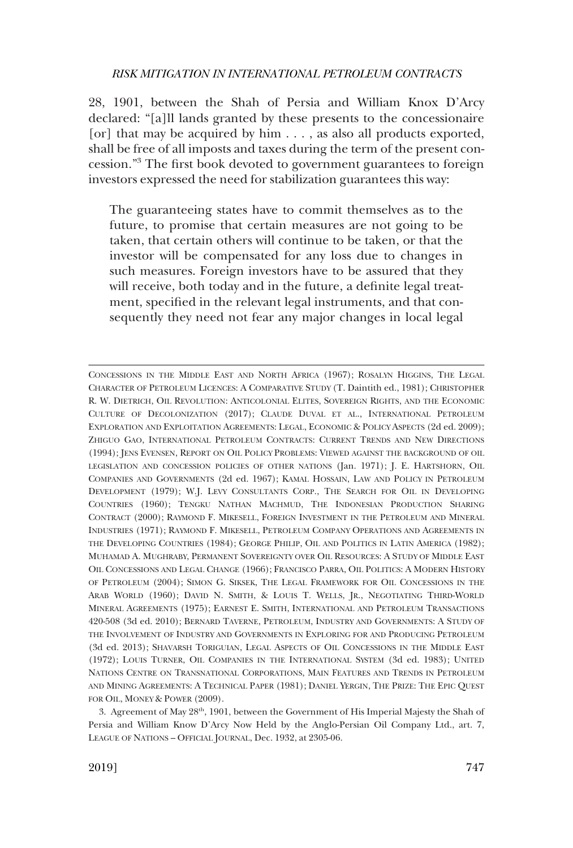28, 1901, between the Shah of Persia and William Knox D'Arcy declared: "[a]ll lands granted by these presents to the concessionaire [or] that may be acquired by him . . . , as also all products exported, shall be free of all imposts and taxes during the term of the present concession."3 The frst book devoted to government guarantees to foreign investors expressed the need for stabilization guarantees this way:

The guaranteeing states have to commit themselves as to the future, to promise that certain measures are not going to be taken, that certain others will continue to be taken, or that the investor will be compensated for any loss due to changes in such measures. Foreign investors have to be assured that they will receive, both today and in the future, a definite legal treatment, specifed in the relevant legal instruments, and that consequently they need not fear any major changes in local legal

CONCESSIONS IN THE MIDDLE EAST AND NORTH AFRICA (1967); ROSALYN HIGGINS, THE LEGAL CHARACTER OF PETROLEUM LICENCES: A COMPARATIVE STUDY (T. Daintith ed., 1981); CHRISTOPHER R. W. DIETRICH, OIL REVOLUTION: ANTICOLONIAL ELITES, SOVEREIGN RIGHTS, AND THE ECONOMIC CULTURE OF DECOLONIZATION (2017); CLAUDE DUVAL ET AL., INTERNATIONAL PETROLEUM EXPLORATION AND EXPLOITATION AGREEMENTS: LEGAL, ECONOMIC & POLICY ASPECTS (2d ed. 2009); ZHIGUO GAO, INTERNATIONAL PETROLEUM CONTRACTS: CURRENT TRENDS AND NEW DIRECTIONS (1994); JENS EVENSEN, REPORT ON OIL POLICY PROBLEMS: VIEWED AGAINST THE BACKGROUND OF OIL LEGISLATION AND CONCESSION POLICIES OF OTHER NATIONS (Jan. 1971); J. E. HARTSHORN, OIL COMPANIES AND GOVERNMENTS (2d ed. 1967); KAMAL HOSSAIN, LAW AND POLICY IN PETROLEUM DEVELOPMENT (1979); W.J. LEVY CONSULTANTS CORP., THE SEARCH FOR OIL IN DEVELOPING COUNTRIES (1960); TENGKU NATHAN MACHMUD, THE INDONESIAN PRODUCTION SHARING CONTRACT (2000); RAYMOND F. MIKESELL, FOREIGN INVESTMENT IN THE PETROLEUM AND MINERAL INDUSTRIES (1971); RAYMOND F. MIKESELL, PETROLEUM COMPANY OPERATIONS AND AGREEMENTS IN THE DEVELOPING COUNTRIES (1984); GEORGE PHILIP, OIL AND POLITICS IN LATIN AMERICA (1982); MUHAMAD A. MUGHRABY, PERMANENT SOVEREIGNTY OVER OIL RESOURCES: A STUDY OF MIDDLE EAST OIL CONCESSIONS AND LEGAL CHANGE (1966); FRANCISCO PARRA, OIL POLITICS: A MODERN HISTORY OF PETROLEUM (2004); SIMON G. SIKSEK, THE LEGAL FRAMEWORK FOR OIL CONCESSIONS IN THE ARAB WORLD (1960); DAVID N. SMITH, & LOUIS T. WELLS, JR., NEGOTIATING THIRD-WORLD MINERAL AGREEMENTS (1975); EARNEST E. SMITH, INTERNATIONAL AND PETROLEUM TRANSACTIONS 420-508 (3d ed. 2010); BERNARD TAVERNE, PETROLEUM, INDUSTRY AND GOVERNMENTS: A STUDY OF THE INVOLVEMENT OF INDUSTRY AND GOVERNMENTS IN EXPLORING FOR AND PRODUCING PETROLEUM (3d ed. 2013); SHAVARSH TORIGUIAN, LEGAL ASPECTS OF OIL CONCESSIONS IN THE MIDDLE EAST (1972); LOUIS TURNER, OIL COMPANIES IN THE INTERNATIONAL SYSTEM (3d ed. 1983); UNITED NATIONS CENTRE ON TRANSNATIONAL CORPORATIONS, MAIN FEATURES AND TRENDS IN PETROLEUM AND MINING AGREEMENTS: A TECHNICAL PAPER (1981); DANIEL YERGIN, THE PRIZE: THE EPIC QUEST FOR OIL, MONEY & POWER (2009).

<sup>3.</sup> Agreement of May 28th, 1901, between the Government of His Imperial Majesty the Shah of Persia and William Know D'Arcy Now Held by the Anglo-Persian Oil Company Ltd., art. 7, LEAGUE OF NATIONS – OFFICIAL JOURNAL, Dec. 1932, at 2305-06.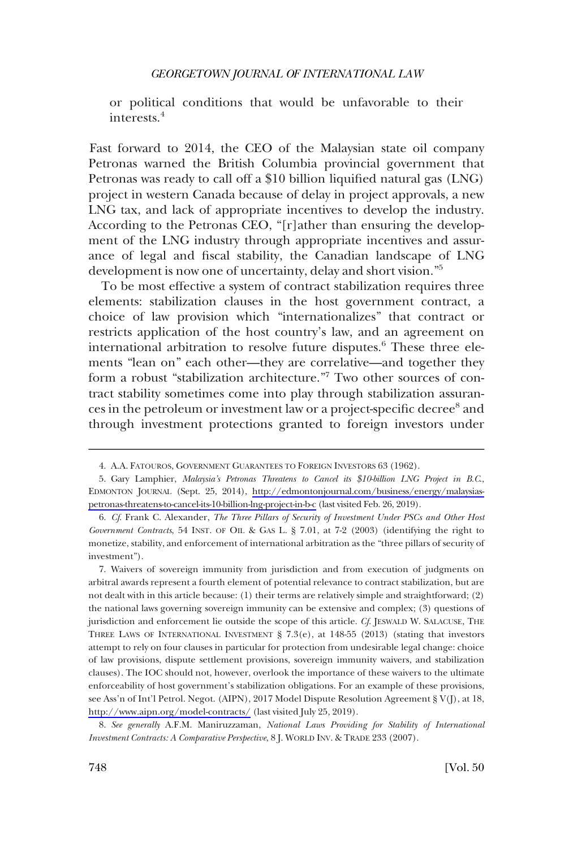or political conditions that would be unfavorable to their interests.<sup>4</sup>

Fast forward to 2014, the CEO of the Malaysian state oil company Petronas warned the British Columbia provincial government that Petronas was ready to call off a \$10 billion liquifed natural gas (LNG) project in western Canada because of delay in project approvals, a new LNG tax, and lack of appropriate incentives to develop the industry. According to the Petronas CEO, "[r]ather than ensuring the development of the LNG industry through appropriate incentives and assurance of legal and fscal stability, the Canadian landscape of LNG development is now one of uncertainty, delay and short vision."<sup>5</sup>

To be most effective a system of contract stabilization requires three elements: stabilization clauses in the host government contract, a choice of law provision which "internationalizes" that contract or restricts application of the host country's law, and an agreement on international arbitration to resolve future disputes.<sup>6</sup> These three elements "lean on" each other—they are correlative—and together they form a robust "stabilization architecture."<sup>7</sup> Two other sources of contract stability sometimes come into play through stabilization assurances in the petroleum or investment law or a project-specific decree<sup>8</sup> and through investment protections granted to foreign investors under

8. *See generally* A.F.M. Maniruzzaman, *National Laws Providing for Stability of International Investment Contracts: A Comparative Perspective*, 8 J. WORLD INV. & TRADE 233 (2007).

<sup>4.</sup> A.A. FATOUROS, GOVERNMENT GUARANTEES TO FOREIGN INVESTORS 63 (1962).

<sup>5.</sup> Gary Lamphier, *Malaysia's Petronas Threatens to Cancel its* \$10-billion LNG Project in B.C., EDMONTON JOURNAL (Sept. 25, 2014), [http://edmontonjournal.com/business/energy/malaysias](http://edmontonjournal.com/business/energy/malaysias-petronas-threatens-to-cancel-its-10-billion-lng-project-in-b-c)[petronas-threatens-to-cancel-its-10-billion-lng-project-in-b-c](http://edmontonjournal.com/business/energy/malaysias-petronas-threatens-to-cancel-its-10-billion-lng-project-in-b-c) (last visited Feb. 26, 2019).

<sup>6.</sup> *Cf*. Frank C. Alexander, *The Three Pillars of Security of Investment Under PSCs and Other Host Government Contracts*, 54 INST. OF OIL & GAS L. § 7.01, at 7-2 (2003) (identifying the right to monetize, stability, and enforcement of international arbitration as the "three pillars of security of investment").

<sup>7.</sup> Waivers of sovereign immunity from jurisdiction and from execution of judgments on arbitral awards represent a fourth element of potential relevance to contract stabilization, but are not dealt with in this article because: (1) their terms are relatively simple and straightforward; (2) the national laws governing sovereign immunity can be extensive and complex; (3) questions of jurisdiction and enforcement lie outside the scope of this article. *Cf*. JESWALD W. SALACUSE, THE THREE LAWS OF INTERNATIONAL INVESTMENT § 7.3(e), at 148-55 (2013) (stating that investors attempt to rely on four clauses in particular for protection from undesirable legal change: choice of law provisions, dispute settlement provisions, sovereign immunity waivers, and stabilization clauses). The IOC should not, however, overlook the importance of these waivers to the ultimate enforceability of host government's stabilization obligations. For an example of these provisions, see Ass'n of Int'l Petrol. Negot. (AIPN), 2017 Model Dispute Resolution Agreement § V(J), at 18, <http://www.aipn.org/model-contracts/>(last visited July 25, 2019).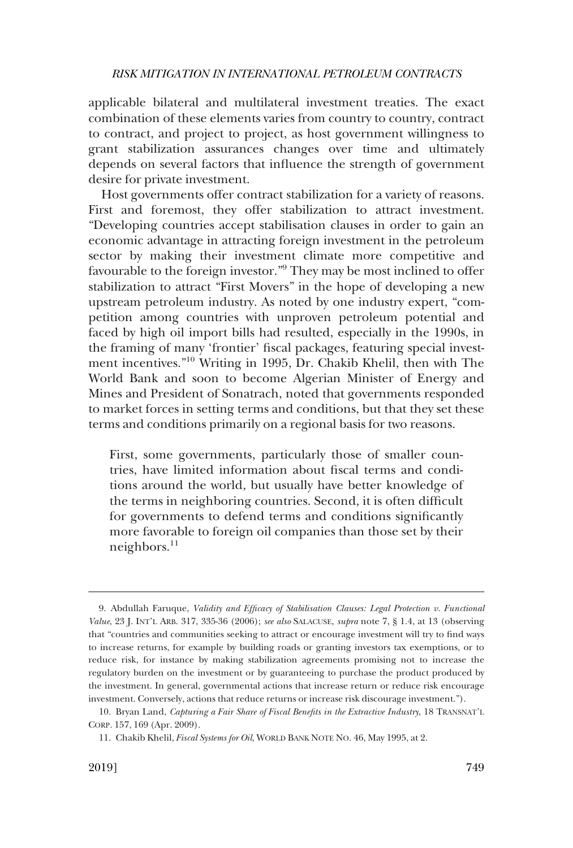applicable bilateral and multilateral investment treaties. The exact combination of these elements varies from country to country, contract to contract, and project to project, as host government willingness to grant stabilization assurances changes over time and ultimately depends on several factors that infuence the strength of government desire for private investment.

Host governments offer contract stabilization for a variety of reasons. First and foremost, they offer stabilization to attract investment. "Developing countries accept stabilisation clauses in order to gain an economic advantage in attracting foreign investment in the petroleum sector by making their investment climate more competitive and favourable to the foreign investor."9 They may be most inclined to offer stabilization to attract "First Movers" in the hope of developing a new upstream petroleum industry. As noted by one industry expert, "competition among countries with unproven petroleum potential and faced by high oil import bills had resulted, especially in the 1990s, in the framing of many 'frontier' fscal packages, featuring special investment incentives."10 Writing in 1995, Dr. Chakib Khelil, then with The World Bank and soon to become Algerian Minister of Energy and Mines and President of Sonatrach, noted that governments responded to market forces in setting terms and conditions, but that they set these terms and conditions primarily on a regional basis for two reasons.

First, some governments, particularly those of smaller countries, have limited information about fscal terms and conditions around the world, but usually have better knowledge of the terms in neighboring countries. Second, it is often diffcult for governments to defend terms and conditions signifcantly more favorable to foreign oil companies than those set by their neighbors. $^{11}$ 

<sup>9.</sup> Abdullah Faruque, *Validity and Effcacy of Stabilisation Clauses: Legal Protection v. Functional Value*, 23 J. INT'L ARB. 317, 335-36 (2006); *see also* SALACUSE, *supra* note 7, § 1.4, at 13 (observing that "countries and communities seeking to attract or encourage investment will try to fnd ways to increase returns, for example by building roads or granting investors tax exemptions, or to reduce risk, for instance by making stabilization agreements promising not to increase the regulatory burden on the investment or by guaranteeing to purchase the product produced by the investment. In general, governmental actions that increase return or reduce risk encourage investment. Conversely, actions that reduce returns or increase risk discourage investment.").

<sup>10.</sup> Bryan Land, *Capturing a Fair Share of Fiscal Benefts in the Extractive Industry*, 18 TRANSNAT'L CORP. 157, 169 (Apr. 2009).

<sup>11.</sup> Chakib Khelil, *Fiscal Systems for Oil*, WORLD BANK NOTE NO. 46, May 1995, at 2.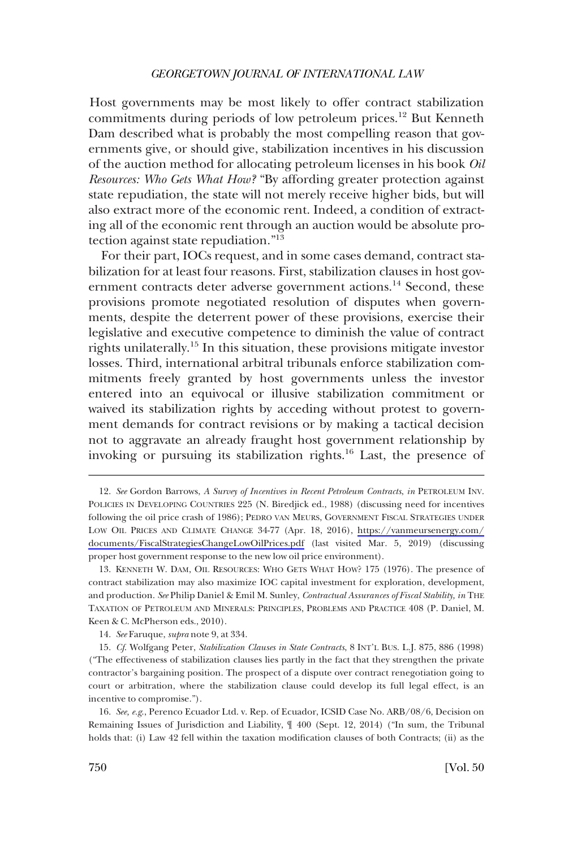Host governments may be most likely to offer contract stabilization commitments during periods of low petroleum prices.<sup>12</sup> But Kenneth Dam described what is probably the most compelling reason that governments give, or should give, stabilization incentives in his discussion of the auction method for allocating petroleum licenses in his book *Oil Resources: Who Gets What How?* "By affording greater protection against state repudiation, the state will not merely receive higher bids, but will also extract more of the economic rent. Indeed, a condition of extracting all of the economic rent through an auction would be absolute protection against state repudiation."13

For their part, IOCs request, and in some cases demand, contract stabilization for at least four reasons. First, stabilization clauses in host government contracts deter adverse government actions.<sup>14</sup> Second, these provisions promote negotiated resolution of disputes when governments, despite the deterrent power of these provisions, exercise their legislative and executive competence to diminish the value of contract rights unilaterally.15 In this situation, these provisions mitigate investor losses. Third, international arbitral tribunals enforce stabilization commitments freely granted by host governments unless the investor entered into an equivocal or illusive stabilization commitment or waived its stabilization rights by acceding without protest to government demands for contract revisions or by making a tactical decision not to aggravate an already fraught host government relationship by invoking or pursuing its stabilization rights.16 Last, the presence of

<sup>12.</sup> See Gordon Barrows, *A Survey of Incentives in Recent Petroleum Contracts*, *in* PETROLEUM INV. POLICIES IN DEVELOPING COUNTRIES 225 (N. Biredjick ed., 1988) (discussing need for incentives following the oil price crash of 1986); PEDRO VAN MEURS, GOVERNMENT FISCAL STRATEGIES UNDER LOW OIL PRICES AND CLIMATE CHANGE 34-77 (Apr. 18, 2016), [https://vanmeursenergy.com/](https://vanmeursenergy.com/documents/FiscalStrategiesChangeLowOilPrices.pdf) [documents/FiscalStrategiesChangeLowOilPrices.pdf](https://vanmeursenergy.com/documents/FiscalStrategiesChangeLowOilPrices.pdf) (last visited Mar. 5, 2019) (discussing proper host government response to the new low oil price environment).

<sup>13.</sup> KENNETH W. DAM, OIL RESOURCES: WHO GETS WHAT HOW? 175 (1976). The presence of contract stabilization may also maximize IOC capital investment for exploration, development, and production. *See* Philip Daniel & Emil M. Sunley, *Contractual Assurances of Fiscal Stability, in* THE TAXATION OF PETROLEUM AND MINERALS: PRINCIPLES, PROBLEMS AND PRACTICE 408 (P. Daniel, M. Keen & C. McPherson eds., 2010).

<sup>14.</sup> *See* Faruque, *supra* note 9, at 334.

<sup>15.</sup> *Cf*. Wolfgang Peter, *Stabilization Clauses in State Contracts*, 8 INT'L BUS. L.J. 875, 886 (1998) ("The effectiveness of stabilization clauses lies partly in the fact that they strengthen the private contractor's bargaining position. The prospect of a dispute over contract renegotiation going to court or arbitration, where the stabilization clause could develop its full legal effect, is an incentive to compromise.").

<sup>16.</sup> *See, e.g*., Perenco Ecuador Ltd. v. Rep. of Ecuador, ICSID Case No. ARB/08/6, Decision on Remaining Issues of Jurisdiction and Liability, ¶ 400 (Sept. 12, 2014) ("In sum, the Tribunal holds that: (i) Law 42 fell within the taxation modifcation clauses of both Contracts; (ii) as the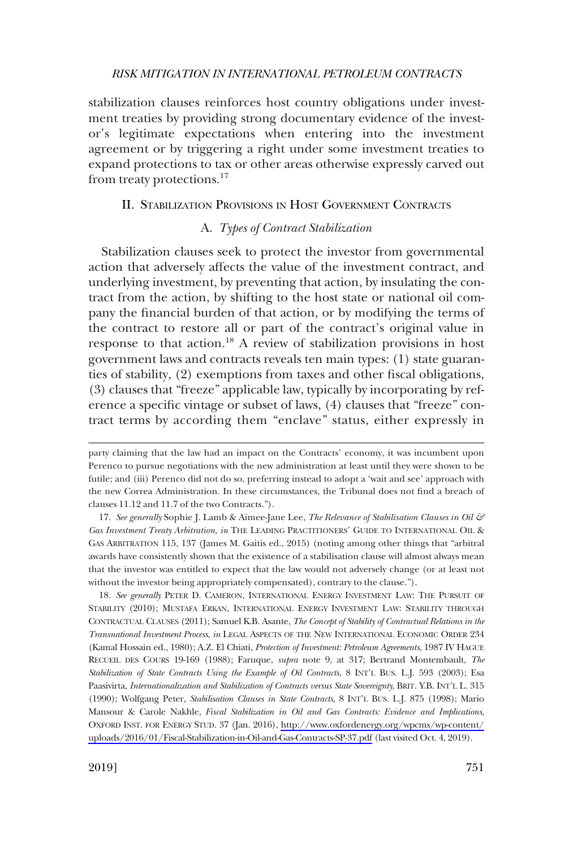<span id="page-6-0"></span>stabilization clauses reinforces host country obligations under investment treaties by providing strong documentary evidence of the investor's legitimate expectations when entering into the investment agreement or by triggering a right under some investment treaties to expand protections to tax or other areas otherwise expressly carved out from treaty protections.<sup>17</sup>

## II. STABILIZATION PROVISIONS IN HOST GOVERNMENT CONTRACTS

## A. *Types of Contract Stabilization*

Stabilization clauses seek to protect the investor from governmental action that adversely affects the value of the investment contract, and underlying investment, by preventing that action, by insulating the contract from the action, by shifting to the host state or national oil company the fnancial burden of that action, or by modifying the terms of the contract to restore all or part of the contract's original value in response to that action.<sup>18</sup> A review of stabilization provisions in host government laws and contracts reveals ten main types: (1) state guaranties of stability, (2) exemptions from taxes and other fscal obligations, (3) clauses that "freeze" applicable law, typically by incorporating by reference a specifc vintage or subset of laws, (4) clauses that "freeze" contract terms by according them "enclave" status, either expressly in

17. *See generally* Sophie J. Lamb & Aimee-Jane Lee, *The Relevance of Stabilisation Clauses in Oil & Gas Investment Treaty Arbitration, in* THE LEADING PRACTITIONERS' GUIDE TO INTERNATIONAL OIL & GAS ARBITRATION 115, 137 (James M. Gaitis ed., 2015) (noting among other things that "arbitral awards have consistently shown that the existence of a stabilisation clause will almost always mean that the investor was entitled to expect that the law would not adversely change (or at least not without the investor being appropriately compensated), contrary to the clause.").

18. See generally PETER D. CAMERON, INTERNATIONAL ENERGY INVESTMENT LAW: THE PURSUIT OF STABILITY (2010); MUSTAFA ERKAN, INTERNATIONAL ENERGY INVESTMENT LAW: STABILITY THROUGH CONTRACTUAL CLAUSES (2011); Samuel K.B. Asante, *The Concept of Stability of Contractual Relations in the Transnational Investment Process*, *in* LEGAL ASPECTS OF THE NEW INTERNATIONAL ECONOMIC ORDER 234 (Kamal Hossain ed., 1980); A.Z. El Chiati, *Protection of Investment: Petroleum Agreements*, 1987 IV HAGUE RECUEIL DES COURS 19-169 (1988); Faruque, *supra* note 9, at 317; Bertrand Montembault, *The Stabilization of State Contracts Using the Example of Oil Contracts*, 8 INT'L BUS. L.J. 593 (2003); Esa Paasivirta, *Internationalization and Stabilization of Contracts versus State Sovereignty*, BRIT. Y.B. INT'L L. 315 (1990); Wolfgang Peter, *Stabilisation Clauses in State Contracts*, 8 INT'L BUS. L.J. 875 (1998); Mario Mansour & Carole Nakhle, *Fiscal Stabilization in Oil and Gas Contracts: Evidence and Implications*, OXFORD INST. FOR ENERGY STUD. 37 (Jan. 2016), [http://www.oxfordenergy.org/wpcms/wp-content/](http://www.oxfordenergy.org/wpcms/wp-content/uploads/2016/01/Fiscal-Stabilization-in-Oil-and-Gas-Contracts-SP-37.pdf)  [uploads/2016/01/Fiscal-Stabilization-in-Oil-and-Gas-Contracts-SP-37.pdf](http://www.oxfordenergy.org/wpcms/wp-content/uploads/2016/01/Fiscal-Stabilization-in-Oil-and-Gas-Contracts-SP-37.pdf) (last visited Oct. 4, 2019).

party claiming that the law had an impact on the Contracts' economy, it was incumbent upon Perenco to pursue negotiations with the new administration at least until they were shown to be futile; and (iii) Perenco did not do so, preferring instead to adopt a 'wait and see' approach with the new Correa Administration. In these circumstances, the Tribunal does not fnd a breach of clauses 11.12 and 11.7 of the two Contracts.").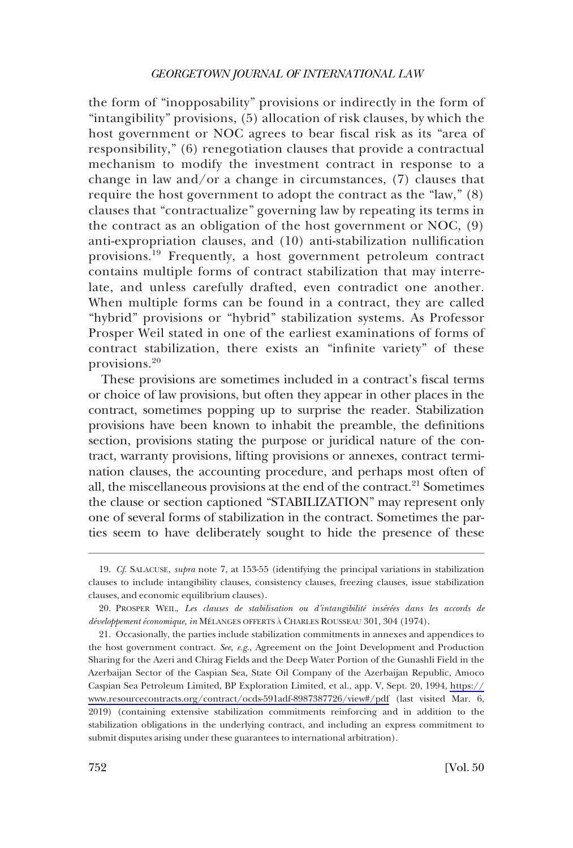the form of "inopposability" provisions or indirectly in the form of "intangibility" provisions, (5) allocation of risk clauses, by which the host government or NOC agrees to bear fscal risk as its "area of responsibility," (6) renegotiation clauses that provide a contractual mechanism to modify the investment contract in response to a change in law and/or a change in circumstances, (7) clauses that require the host government to adopt the contract as the "law," (8) clauses that "contractualize" governing law by repeating its terms in the contract as an obligation of the host government or NOC, (9) anti-expropriation clauses, and (10) anti-stabilization nullifcation provisions.19 Frequently, a host government petroleum contract contains multiple forms of contract stabilization that may interrelate, and unless carefully drafted, even contradict one another. When multiple forms can be found in a contract, they are called "hybrid" provisions or "hybrid" stabilization systems. As Professor Prosper Weil stated in one of the earliest examinations of forms of contract stabilization, there exists an "infnite variety" of these provisions.<sup>20</sup>

These provisions are sometimes included in a contract's fscal terms or choice of law provisions, but often they appear in other places in the contract, sometimes popping up to surprise the reader. Stabilization provisions have been known to inhabit the preamble, the defnitions section, provisions stating the purpose or juridical nature of the contract, warranty provisions, lifting provisions or annexes, contract termination clauses, the accounting procedure, and perhaps most often of all, the miscellaneous provisions at the end of the contract.<sup>21</sup> Sometimes the clause or section captioned "STABILIZATION" may represent only one of several forms of stabilization in the contract. Sometimes the parties seem to have deliberately sought to hide the presence of these

<sup>19.</sup> *Cf*. SALACUSE, *supra* note 7, at 153-55 (identifying the principal variations in stabilization clauses to include intangibility clauses, consistency clauses, freezing clauses, issue stabilization clauses, and economic equilibrium clauses).

<sup>20.</sup> PROSPER WEIL, Les clauses de stabilisation ou d'intangibilité insérées dans les accords de *développement économique, in MÉLANGES OFFERTS À CHARLES ROUSSEAU 301, 304 (1974).* 

Occasionally, the parties include stabilization commitments in annexes and appendices to 21. the host government contract. *See, e.g*., Agreement on the Joint Development and Production Sharing for the Azeri and Chirag Fields and the Deep Water Portion of the Gunashli Field in the Azerbaijan Sector of the Caspian Sea, State Oil Company of the Azerbaijan Republic, Amoco Caspian Sea Petroleum Limited, BP Exploration Limited, et al., app. V, Sept. 20, 1994, [https://](https://www.resourcecontracts.org/contract/ocds-591adf-8987387726/view#/pdf) [www.resourcecontracts.org/contract/ocds-591adf-8987387726/view#/pdf](https://www.resourcecontracts.org/contract/ocds-591adf-8987387726/view#/pdf) (last visited Mar. 6, 2019) (containing extensive stabilization commitments reinforcing and in addition to the stabilization obligations in the underlying contract, and including an express commitment to submit disputes arising under these guarantees to international arbitration).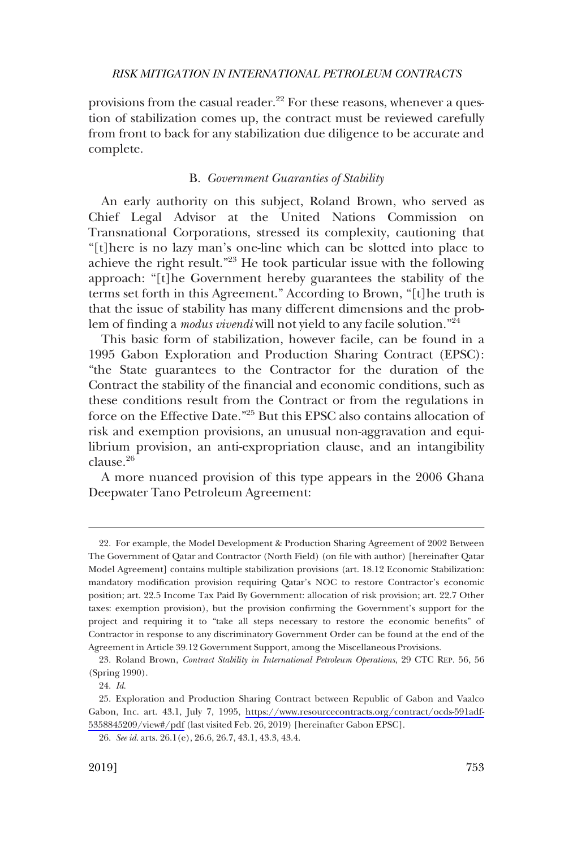<span id="page-8-0"></span>provisions from the casual reader. $2^2$  For these reasons, whenever a question of stabilization comes up, the contract must be reviewed carefully from front to back for any stabilization due diligence to be accurate and complete.

#### B. *Government Guaranties of Stability*

An early authority on this subject, Roland Brown, who served as Chief Legal Advisor at the United Nations Commission on Transnational Corporations, stressed its complexity, cautioning that "[t]here is no lazy man's one-line which can be slotted into place to achieve the right result."23 He took particular issue with the following approach: "[t]he Government hereby guarantees the stability of the terms set forth in this Agreement." According to Brown, "[t]he truth is that the issue of stability has many different dimensions and the problem of fnding a *modus vivendi* will not yield to any facile solution."<sup>24</sup>

This basic form of stabilization, however facile, can be found in a 1995 Gabon Exploration and Production Sharing Contract (EPSC): "the State guarantees to the Contractor for the duration of the Contract the stability of the fnancial and economic conditions, such as these conditions result from the Contract or from the regulations in force on the Effective Date."<sup>25</sup> But this EPSC also contains allocation of risk and exemption provisions, an unusual non-aggravation and equilibrium provision, an anti-expropriation clause, and an intangibility clause.26

A more nuanced provision of this type appears in the 2006 Ghana Deepwater Tano Petroleum Agreement:

<sup>22.</sup> For example, the Model Development & Production Sharing Agreement of 2002 Between The Government of Qatar and Contractor (North Field) (on fle with author) [hereinafter Qatar Model Agreement] contains multiple stabilization provisions (art. 18.12 Economic Stabilization: mandatory modifcation provision requiring Qatar's NOC to restore Contractor's economic position; art. 22.5 Income Tax Paid By Government: allocation of risk provision; art. 22.7 Other taxes: exemption provision), but the provision confrming the Government's support for the project and requiring it to "take all steps necessary to restore the economic benefts" of Contractor in response to any discriminatory Government Order can be found at the end of the Agreement in Article 39.12 Government Support, among the Miscellaneous Provisions.

<sup>23.</sup> Roland Brown, *Contract Stability in International Petroleum Operations*, 29 CTC REP. 56, 56 (Spring 1990).

<sup>24.</sup> *Id*.

Exploration and Production Sharing Contract between Republic of Gabon and Vaalco 25. Gabon, Inc. art. 43.1, July 7, 1995, [https://www.resourcecontracts.org/contract/ocds-591adf-](https://www.resourcecontracts.org/contract/ocds-591adf-5358845209/view#/pdf)[5358845209/view#/pdf](https://www.resourcecontracts.org/contract/ocds-591adf-5358845209/view#/pdf) (last visited Feb. 26, 2019) [hereinafter Gabon EPSC].

<sup>26.</sup> *See id*. arts. 26.1(e), 26.6, 26.7, 43.1, 43.3, 43.4.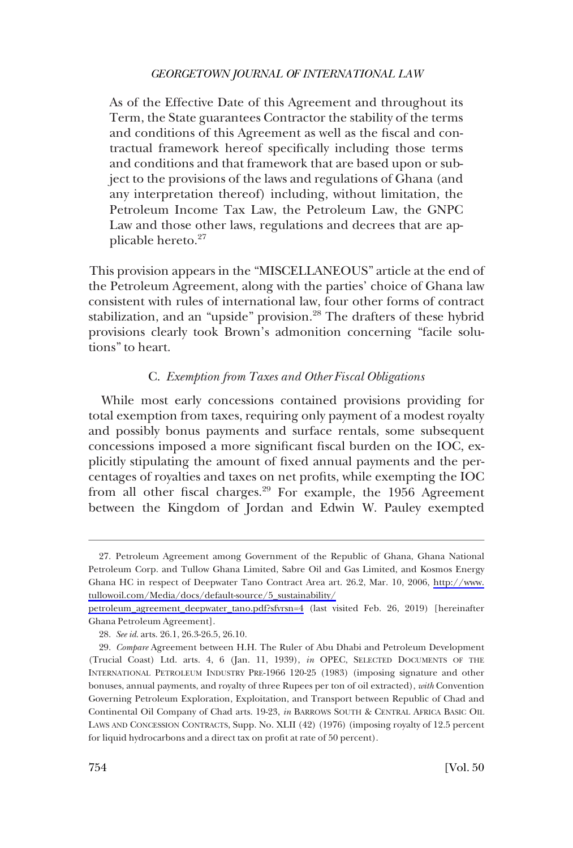<span id="page-9-0"></span>As of the Effective Date of this Agreement and throughout its Term, the State guarantees Contractor the stability of the terms and conditions of this Agreement as well as the fscal and contractual framework hereof specifcally including those terms and conditions and that framework that are based upon or subject to the provisions of the laws and regulations of Ghana (and any interpretation thereof) including, without limitation, the Petroleum Income Tax Law, the Petroleum Law, the GNPC Law and those other laws, regulations and decrees that are applicable hereto.<sup>27</sup>

This provision appears in the "MISCELLANEOUS" article at the end of the Petroleum Agreement, along with the parties' choice of Ghana law consistent with rules of international law, four other forms of contract stabilization, and an "upside" provision.<sup>28</sup> The drafters of these hybrid provisions clearly took Brown's admonition concerning "facile solutions" to heart.

## C. *Exemption from Taxes and Other Fiscal Obligations*

While most early concessions contained provisions providing for total exemption from taxes, requiring only payment of a modest royalty and possibly bonus payments and surface rentals, some subsequent concessions imposed a more signifcant fscal burden on the IOC, explicitly stipulating the amount of fxed annual payments and the percentages of royalties and taxes on net profts, while exempting the IOC from all other fiscal charges.<sup>29</sup> For example, the 1956 Agreement between the Kingdom of Jordan and Edwin W. Pauley exempted

<sup>27.</sup> Petroleum Agreement among Government of the Republic of Ghana, Ghana National Petroleum Corp. and Tullow Ghana Limited, Sabre Oil and Gas Limited, and Kosmos Energy Ghana HC in respect of Deepwater Tano Contract Area art. 26.2, Mar. 10, 2006, [http://www.](http://www.tullowoil.com/Media/docs/default-source/5_sustainability/petroleum_agreement_deepwater_tano.pdf?sfvrsn=4)  [tullowoil.com/Media/docs/default-source/5\\_sustainability/](http://www.tullowoil.com/Media/docs/default-source/5_sustainability/petroleum_agreement_deepwater_tano.pdf?sfvrsn=4)

[petroleum\\_agreement\\_deepwater\\_tano.pdf?sfvrsn=4](http://www.tullowoil.com/Media/docs/default-source/5_sustainability/petroleum_agreement_deepwater_tano.pdf?sfvrsn=4) (last visited Feb. 26, 2019) [hereinafter Ghana Petroleum Agreement].

<sup>28.</sup> *See id*. arts. 26.1, 26.3-26.5, 26.10.

<sup>29.</sup> *Compare* Agreement between H.H. The Ruler of Abu Dhabi and Petroleum Development (Trucial Coast) Ltd. arts. 4, 6 (Jan. 11, 1939), *in* OPEC, SELECTED DOCUMENTS OF THE INTERNATIONAL PETROLEUM INDUSTRY PRE-1966 120-25 (1983) (imposing signature and other bonuses, annual payments, and royalty of three Rupees per ton of oil extracted), *with* Convention Governing Petroleum Exploration, Exploitation, and Transport between Republic of Chad and Continental Oil Company of Chad arts. 19-23, *in* BARROWS SOUTH & CENTRAL AFRICA BASIC OIL LAWS AND CONCESSION CONTRACTS, Supp. No. XLII (42) (1976) (imposing royalty of 12.5 percent for liquid hydrocarbons and a direct tax on proft at rate of 50 percent).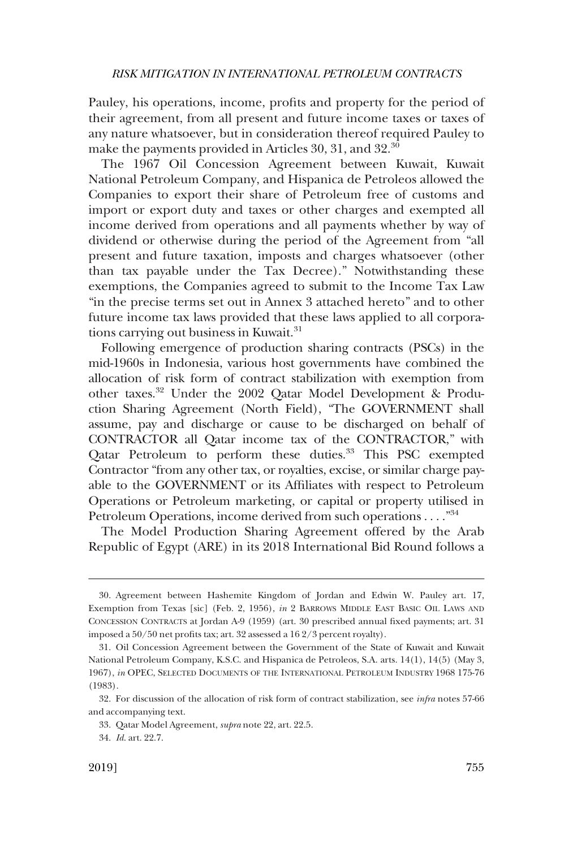Pauley, his operations, income, profts and property for the period of their agreement, from all present and future income taxes or taxes of any nature whatsoever, but in consideration thereof required Pauley to make the payments provided in Articles 30, 31, and 32.<sup>30</sup>

The 1967 Oil Concession Agreement between Kuwait, Kuwait National Petroleum Company, and Hispanica de Petroleos allowed the Companies to export their share of Petroleum free of customs and import or export duty and taxes or other charges and exempted all income derived from operations and all payments whether by way of dividend or otherwise during the period of the Agreement from "all present and future taxation, imposts and charges whatsoever (other than tax payable under the Tax Decree)." Notwithstanding these exemptions, the Companies agreed to submit to the Income Tax Law "in the precise terms set out in Annex 3 attached hereto" and to other future income tax laws provided that these laws applied to all corporations carrying out business in Kuwait.<sup>31</sup>

Following emergence of production sharing contracts (PSCs) in the mid-1960s in Indonesia, various host governments have combined the allocation of risk form of contract stabilization with exemption from other taxes.<sup>32</sup> Under the 2002 Qatar Model Development & Production Sharing Agreement (North Field), "The GOVERNMENT shall assume, pay and discharge or cause to be discharged on behalf of CONTRACTOR all Qatar income tax of the CONTRACTOR," with Qatar Petroleum to perform these duties.<sup>33</sup> This PSC exempted Contractor "from any other tax, or royalties, excise, or similar charge payable to the GOVERNMENT or its Affliates with respect to Petroleum Operations or Petroleum marketing, or capital or property utilised in Petroleum Operations, income derived from such operations . . . ."34

The Model Production Sharing Agreement offered by the Arab Republic of Egypt (ARE) in its 2018 International Bid Round follows a

<sup>30.</sup> Agreement between Hashemite Kingdom of Jordan and Edwin W. Pauley art. 17, Exemption from Texas [sic] (Feb. 2, 1956), *in* 2 BARROWS MIDDLE EAST BASIC OIL LAWS AND CONCESSION CONTRACTS at Jordan A-9 (1959) (art. 30 prescribed annual fxed payments; art. 31 imposed a 50/50 net profts tax; art. 32 assessed a 16 2/3 percent royalty).

<sup>31.</sup> Oil Concession Agreement between the Government of the State of Kuwait and Kuwait National Petroleum Company, K.S.C. and Hispanica de Petroleos, S.A. arts. 14(1), 14(5) (May 3, 1967), *in* OPEC, SELECTED DOCUMENTS OF THE INTERNATIONAL PETROLEUM INDUSTRY 1968 175-76 (1983).

<sup>32.</sup> For discussion of the allocation of risk form of contract stabilization, see *infra* notes 57-66 and accompanying text.

<sup>33.</sup> Qatar Model Agreement, *supra* note 22, art. 22.5.

<sup>34.</sup> *Id*. art. 22.7.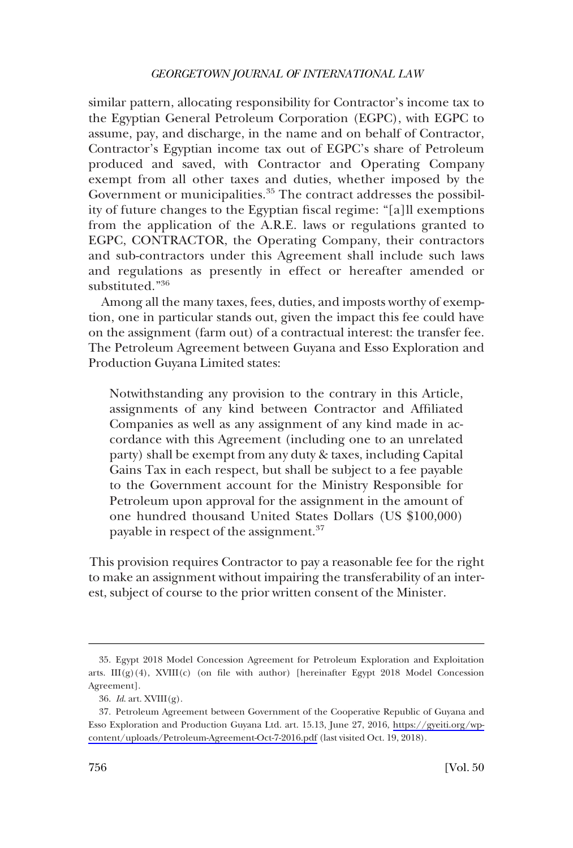similar pattern, allocating responsibility for Contractor's income tax to the Egyptian General Petroleum Corporation (EGPC), with EGPC to assume, pay, and discharge, in the name and on behalf of Contractor, Contractor's Egyptian income tax out of EGPC's share of Petroleum produced and saved, with Contractor and Operating Company exempt from all other taxes and duties, whether imposed by the Government or municipalities.<sup>35</sup> The contract addresses the possibility of future changes to the Egyptian fscal regime: "[a]ll exemptions from the application of the A.R.E. laws or regulations granted to EGPC, CONTRACTOR, the Operating Company, their contractors and sub-contractors under this Agreement shall include such laws and regulations as presently in effect or hereafter amended or substituted."<sup>36</sup>

Among all the many taxes, fees, duties, and imposts worthy of exemption, one in particular stands out, given the impact this fee could have on the assignment (farm out) of a contractual interest: the transfer fee. The Petroleum Agreement between Guyana and Esso Exploration and Production Guyana Limited states:

Notwithstanding any provision to the contrary in this Article, assignments of any kind between Contractor and Affliated Companies as well as any assignment of any kind made in accordance with this Agreement (including one to an unrelated party) shall be exempt from any duty & taxes, including Capital Gains Tax in each respect, but shall be subject to a fee payable to the Government account for the Ministry Responsible for Petroleum upon approval for the assignment in the amount of one hundred thousand United States Dollars (US \$100,000) payable in respect of the assignment.<sup>37</sup>

This provision requires Contractor to pay a reasonable fee for the right to make an assignment without impairing the transferability of an interest, subject of course to the prior written consent of the Minister.

<sup>35.</sup> Egypt 2018 Model Concession Agreement for Petroleum Exploration and Exploitation arts. III(g)(4), XVIII(c) (on file with author) [hereinafter Egypt 2018 Model Concession Agreement].

<sup>36.</sup> *Id*. art. XVIII(g).

<sup>37.</sup> Petroleum Agreement between Government of the Cooperative Republic of Guyana and Esso Exploration and Production Guyana Ltd. art. 15.13, June 27, 2016, [https://gyeiti.org/wp](https://gyeiti.org/wp-content/uploads/Petroleum-Agreement-Oct-7-2016.pdf)[content/uploads/Petroleum-Agreement-Oct-7-2016.pdf](https://gyeiti.org/wp-content/uploads/Petroleum-Agreement-Oct-7-2016.pdf) (last visited Oct. 19, 2018).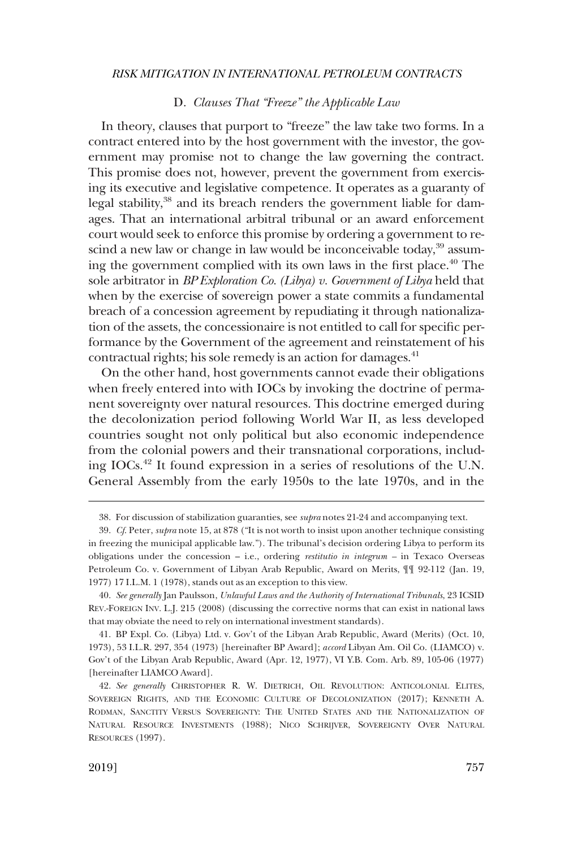## D. *Clauses That "Freeze" the Applicable Law*

<span id="page-12-0"></span>In theory, clauses that purport to "freeze" the law take two forms. In a contract entered into by the host government with the investor, the government may promise not to change the law governing the contract. This promise does not, however, prevent the government from exercising its executive and legislative competence. It operates as a guaranty of legal stability,<sup>38</sup> and its breach renders the government liable for damages. That an international arbitral tribunal or an award enforcement court would seek to enforce this promise by ordering a government to rescind a new law or change in law would be inconceivable today, $39$  assuming the government complied with its own laws in the first place.<sup>40</sup> The sole arbitrator in *BP Exploration Co. (Libya) v. Government of Libya* held that when by the exercise of sovereign power a state commits a fundamental breach of a concession agreement by repudiating it through nationalization of the assets, the concessionaire is not entitled to call for specifc performance by the Government of the agreement and reinstatement of his contractual rights; his sole remedy is an action for damages.<sup>41</sup>

On the other hand, host governments cannot evade their obligations when freely entered into with IOCs by invoking the doctrine of permanent sovereignty over natural resources. This doctrine emerged during the decolonization period following World War II, as less developed countries sought not only political but also economic independence from the colonial powers and their transnational corporations, including IOCs.42 It found expression in a series of resolutions of the U.N. General Assembly from the early 1950s to the late 1970s, and in the

<sup>38.</sup> For discussion of stabilization guaranties, see *supra* notes 21-24 and accompanying text.

<sup>39.</sup> *Cf*. Peter, *supra* note 15, at 878 ("It is not worth to insist upon another technique consisting in freezing the municipal applicable law."). The tribunal's decision ordering Libya to perform its obligations under the concession – i.e., ordering *restitutio in integrum –* in Texaco Overseas Petroleum Co. v. Government of Libyan Arab Republic, Award on Merits, ¶¶ 92-112 (Jan. 19, 1977) 17 I.L.M. 1 (1978), stands out as an exception to this view.

<sup>40.</sup> *See generally* Jan Paulsson, *Unlawful Laws and the Authority of International Tribunals*, 23 ICSID REV.-FOREIGN INV. L.J. 215 (2008) (discussing the corrective norms that can exist in national laws that may obviate the need to rely on international investment standards).

<sup>41.</sup> BP Expl. Co. (Libya) Ltd. v. Gov't of the Libyan Arab Republic, Award (Merits) (Oct. 10, 1973), 53 I.L.R. 297, 354 (1973) [hereinafter BP Award]; *accord* Libyan Am. Oil Co. (LIAMCO) v. Gov't of the Libyan Arab Republic, Award (Apr. 12, 1977), VI Y.B. Com. Arb. 89, 105-06 (1977) [hereinafter LIAMCO Award].

<sup>42.</sup> *See generally* CHRISTOPHER R. W. DIETRICH, OIL REVOLUTION: ANTICOLONIAL ELITES, SOVEREIGN RIGHTS, AND THE ECONOMIC CULTURE OF DECOLONIZATION (2017); KENNETH A. RODMAN, SANCTITY VERSUS SOVEREIGNTY: THE UNITED STATES AND THE NATIONALIZATION OF NATURAL RESOURCE INVESTMENTS (1988); NICO SCHRIJVER, SOVEREIGNTY OVER NATURAL RESOURCES (1997).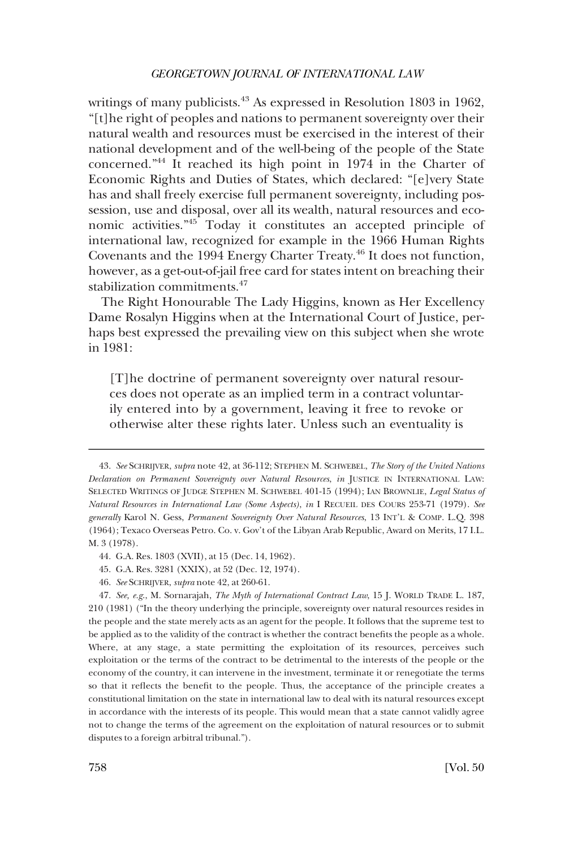writings of many publicists.<sup>43</sup> As expressed in Resolution 1803 in 1962, "[t]he right of peoples and nations to permanent sovereignty over their natural wealth and resources must be exercised in the interest of their national development and of the well-being of the people of the State concerned."44 It reached its high point in 1974 in the Charter of Economic Rights and Duties of States, which declared: "[e]very State has and shall freely exercise full permanent sovereignty, including possession, use and disposal, over all its wealth, natural resources and economic activities."45 Today it constitutes an accepted principle of international law, recognized for example in the 1966 Human Rights Covenants and the 1994 Energy Charter Treaty.<sup>46</sup> It does not function, however, as a get-out-of-jail free card for states intent on breaching their stabilization commitments.<sup>47</sup>

The Right Honourable The Lady Higgins, known as Her Excellency Dame Rosalyn Higgins when at the International Court of Justice, perhaps best expressed the prevailing view on this subject when she wrote in 1981:

[T]he doctrine of permanent sovereignty over natural resources does not operate as an implied term in a contract voluntarily entered into by a government, leaving it free to revoke or otherwise alter these rights later. Unless such an eventuality is

- 45. G.A. Res. 3281 (XXIX), at 52 (Dec. 12, 1974).
- 46. *See* SCHRIJVER, *supra* note 42, at 260-61.

<sup>43.</sup> *See* SCHRIJVER, *supra* note 42, at 36-112; STEPHEN M. SCHWEBEL, *The Story of the United Nations Declaration on Permanent Sovereignty over Natural Resources*, *in* JUSTICE IN INTERNATIONAL LAW: SELECTED WRITINGS OF JUDGE STEPHEN M. SCHWEBEL 401-15 (1994); IAN BROWNLIE, *Legal Status of Natural Resources in International Law (Some Aspects)*, *in* I RECUEIL DES COURS 253-71 (1979). *See generally* Karol N. Gess, *Permanent Sovereignty Over Natural Resources*, 13 INT'L & COMP. L.Q. 398 (1964); Texaco Overseas Petro. Co. v. Gov't of the Libyan Arab Republic, Award on Merits, 17 I.L. M. 3 (1978).

<sup>44.</sup> G.A. Res. 1803 (XVII), at 15 (Dec. 14, 1962).

<sup>47.</sup> *See, e.g*., M. Sornarajah, *The Myth of International Contract Law*, 15 J. WORLD TRADE L. 187, 210 (1981) ("In the theory underlying the principle, sovereignty over natural resources resides in the people and the state merely acts as an agent for the people. It follows that the supreme test to be applied as to the validity of the contract is whether the contract benefts the people as a whole. Where, at any stage, a state permitting the exploitation of its resources, perceives such exploitation or the terms of the contract to be detrimental to the interests of the people or the economy of the country, it can intervene in the investment, terminate it or renegotiate the terms so that it refects the beneft to the people. Thus, the acceptance of the principle creates a constitutional limitation on the state in international law to deal with its natural resources except in accordance with the interests of its people. This would mean that a state cannot validly agree not to change the terms of the agreement on the exploitation of natural resources or to submit disputes to a foreign arbitral tribunal.").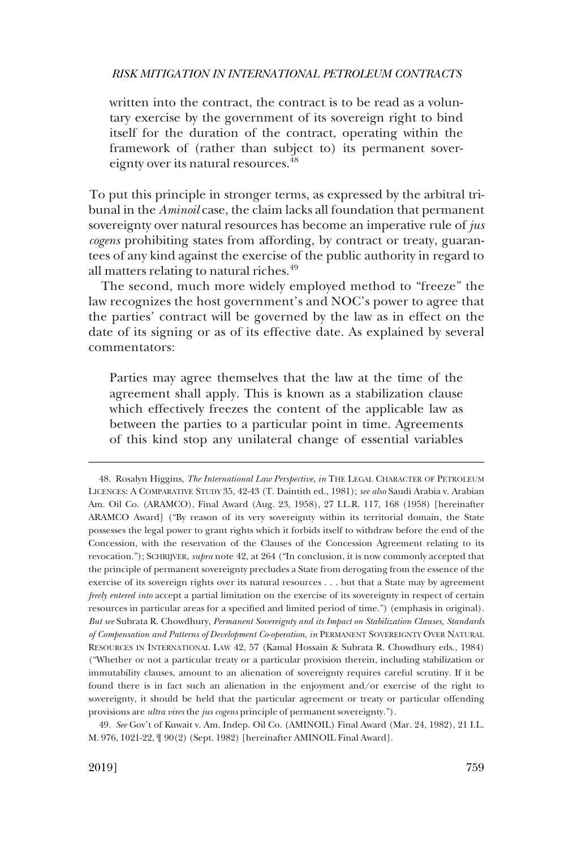written into the contract, the contract is to be read as a voluntary exercise by the government of its sovereign right to bind itself for the duration of the contract, operating within the framework of (rather than subject to) its permanent sovereignty over its natural resources.<sup>48</sup>

To put this principle in stronger terms, as expressed by the arbitral tribunal in the *Aminoil* case, the claim lacks all foundation that permanent sovereignty over natural resources has become an imperative rule of *jus cogens* prohibiting states from affording, by contract or treaty, guarantees of any kind against the exercise of the public authority in regard to all matters relating to natural riches.<sup>49</sup>

The second, much more widely employed method to "freeze" the law recognizes the host government's and NOC's power to agree that the parties' contract will be governed by the law as in effect on the date of its signing or as of its effective date. As explained by several commentators:

Parties may agree themselves that the law at the time of the agreement shall apply. This is known as a stabilization clause which effectively freezes the content of the applicable law as between the parties to a particular point in time. Agreements of this kind stop any unilateral change of essential variables

<sup>48.</sup> Rosalyn Higgins, *The International Law Perspective*, *in* THE LEGAL CHARACTER OF PETROLEUM LICENCES: A COMPARATIVE STUDY 35, 42-43 (T. Daintith ed., 1981); *see also* Saudi Arabia v. Arabian Am. Oil Co. (ARAMCO), Final Award (Aug. 23, 1958), 27 I.L.R. 117, 168 (1958) [hereinafter ARAMCO Award] ("By reason of its very sovereignty within its territorial domain, the State possesses the legal power to grant rights which it forbids itself to withdraw before the end of the Concession, with the reservation of the Clauses of the Concession Agreement relating to its revocation."); SCHRIJVER, *supra* note 42, at 264 ("In conclusion, it is now commonly accepted that the principle of permanent sovereignty precludes a State from derogating from the essence of the exercise of its sovereign rights over its natural resources . . . but that a State may by agreement *freely entered into* accept a partial limitation on the exercise of its sovereignty in respect of certain resources in particular areas for a specifed and limited period of time.") (emphasis in original). *But see* Subrata R. Chowdhury, *Permanent Sovereignty and its Impact on Stabilization Clauses, Standards of Compensation and Patterns of Development Co-operation*, *in* PERMANENT SOVEREIGNTY OVER NATURAL RESOURCES IN INTERNATIONAL LAW 42, 57 (Kamal Hossain & Subrata R. Chowdhury eds., 1984) ("Whether or not a particular treaty or a particular provision therein, including stabilization or immutability clauses, amount to an alienation of sovereignty requires careful scrutiny. If it be found there is in fact such an alienation in the enjoyment and/or exercise of the right to sovereignty, it should be held that the particular agreement or treaty or particular offending provisions are *ultra vires* the *jus cogens* principle of permanent sovereignty.").

<sup>49.</sup> *See* Gov't of Kuwait v. Am. Indep. Oil Co. (AMINOIL) Final Award (Mar. 24, 1982), 21 I.L. M. 976, 1021-22, ¶ 90(2) (Sept. 1982) [hereinafter AMINOIL Final Award].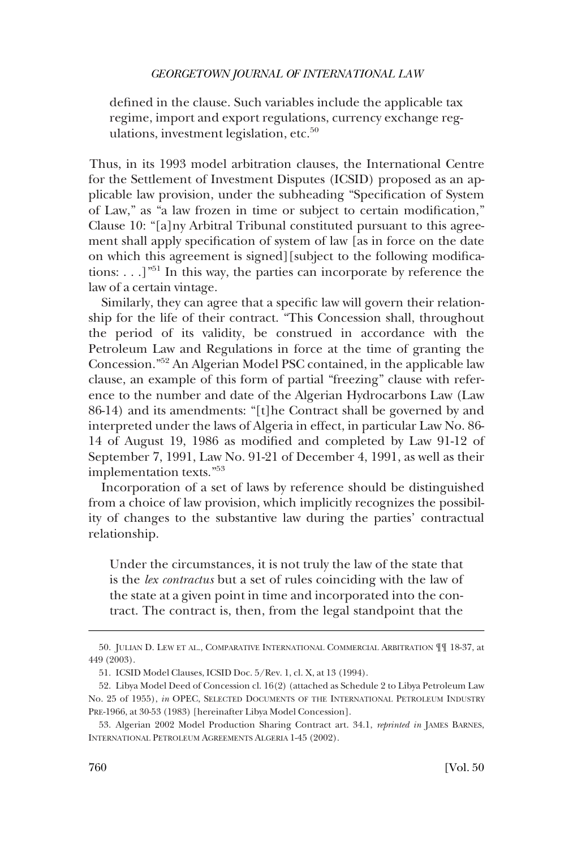defned in the clause. Such variables include the applicable tax regime, import and export regulations, currency exchange regulations, investment legislation, etc.<sup>50</sup>

Thus, in its 1993 model arbitration clauses, the International Centre for the Settlement of Investment Disputes (ICSID) proposed as an applicable law provision, under the subheading "Specifcation of System of Law," as "a law frozen in time or subject to certain modifcation," Clause 10: "[a]ny Arbitral Tribunal constituted pursuant to this agreement shall apply specifcation of system of law [as in force on the date on which this agreement is signed][subject to the following modifcations:  $\ldots$ ]<sup>"51</sup> In this way, the parties can incorporate by reference the law of a certain vintage.

Similarly, they can agree that a specifc law will govern their relationship for the life of their contract. "This Concession shall, throughout the period of its validity, be construed in accordance with the Petroleum Law and Regulations in force at the time of granting the Concession."52 An Algerian Model PSC contained, in the applicable law clause, an example of this form of partial "freezing" clause with reference to the number and date of the Algerian Hydrocarbons Law (Law 86-14) and its amendments: "[t]he Contract shall be governed by and interpreted under the laws of Algeria in effect, in particular Law No. 86- 14 of August 19, 1986 as modifed and completed by Law 91-12 of September 7, 1991, Law No. 91-21 of December 4, 1991, as well as their implementation texts."53

Incorporation of a set of laws by reference should be distinguished from a choice of law provision, which implicitly recognizes the possibility of changes to the substantive law during the parties' contractual relationship.

Under the circumstances, it is not truly the law of the state that is the *lex contractus* but a set of rules coinciding with the law of the state at a given point in time and incorporated into the contract. The contract is, then, from the legal standpoint that the

<sup>50.</sup> JULIAN D. LEW ET AL., COMPARATIVE INTERNATIONAL COMMERCIAL ARBITRATION ¶¶ 18-37, at 449 (2003).

<sup>51.</sup> ICSID Model Clauses, ICSID Doc. 5/Rev. 1, cl. X, at 13 (1994).

<sup>52.</sup> Libya Model Deed of Concession cl. 16(2) (attached as Schedule 2 to Libya Petroleum Law No. 25 of 1955), *in* OPEC, SELECTED DOCUMENTS OF THE INTERNATIONAL PETROLEUM INDUSTRY PRE-1966, at 30-53 (1983) [hereinafter Libya Model Concession].

<sup>53.</sup> Algerian 2002 Model Production Sharing Contract art. 34.1, *reprinted in* JAMES BARNES, INTERNATIONAL PETROLEUM AGREEMENTS ALGERIA 1-45 (2002).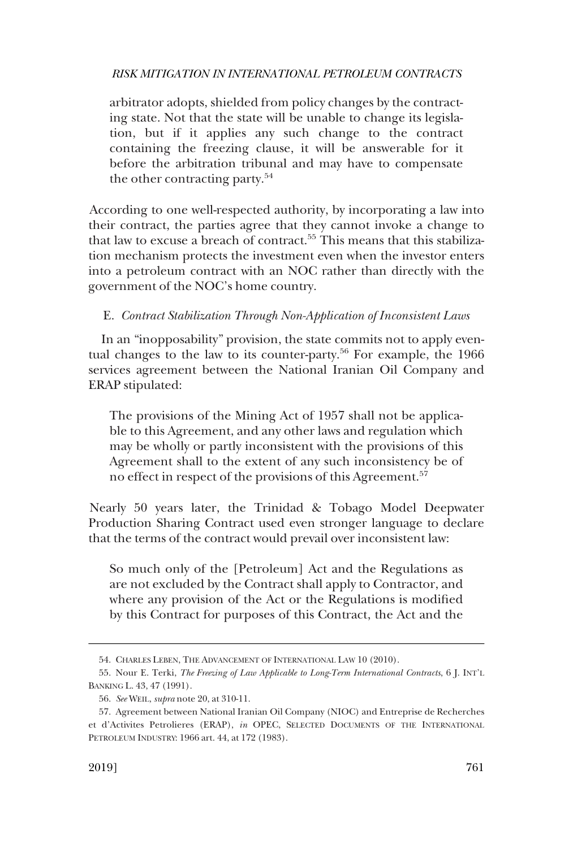<span id="page-16-0"></span>arbitrator adopts, shielded from policy changes by the contracting state. Not that the state will be unable to change its legislation, but if it applies any such change to the contract containing the freezing clause, it will be answerable for it before the arbitration tribunal and may have to compensate the other contracting party.<sup>54</sup>

According to one well-respected authority, by incorporating a law into their contract, the parties agree that they cannot invoke a change to that law to excuse a breach of contract.<sup>55</sup> This means that this stabilization mechanism protects the investment even when the investor enters into a petroleum contract with an NOC rather than directly with the government of the NOC's home country.

## E. *Contract Stabilization Through Non-Application of Inconsistent Laws*

In an "inopposability" provision, the state commits not to apply eventual changes to the law to its counter-party.<sup>56</sup> For example, the 1966 services agreement between the National Iranian Oil Company and ERAP stipulated:

The provisions of the Mining Act of 1957 shall not be applicable to this Agreement, and any other laws and regulation which may be wholly or partly inconsistent with the provisions of this Agreement shall to the extent of any such inconsistency be of no effect in respect of the provisions of this Agreement.<sup>57</sup>

Nearly 50 years later, the Trinidad & Tobago Model Deepwater Production Sharing Contract used even stronger language to declare that the terms of the contract would prevail over inconsistent law:

So much only of the [Petroleum] Act and the Regulations as are not excluded by the Contract shall apply to Contractor, and where any provision of the Act or the Regulations is modifed by this Contract for purposes of this Contract, the Act and the

<sup>54.</sup> CHARLES LEBEN, THE ADVANCEMENT OF INTERNATIONAL LAW 10 (2010).

<sup>55.</sup> Nour E. Terki, *The Freezing of Law Applicable to Long-Term International Contracts*, 6 J. INT'L BANKING L. 43, 47 (1991).

<sup>56.</sup> *See* WEIL, *supra* note 20, at 310-11.

<sup>57.</sup> Agreement between National Iranian Oil Company (NIOC) and Entreprise de Recherches et d'Activites Petrolieres (ERAP), *in* OPEC, SELECTED DOCUMENTS OF THE INTERNATIONAL PETROLEUM INDUSTRY: 1966 art. 44, at 172 (1983).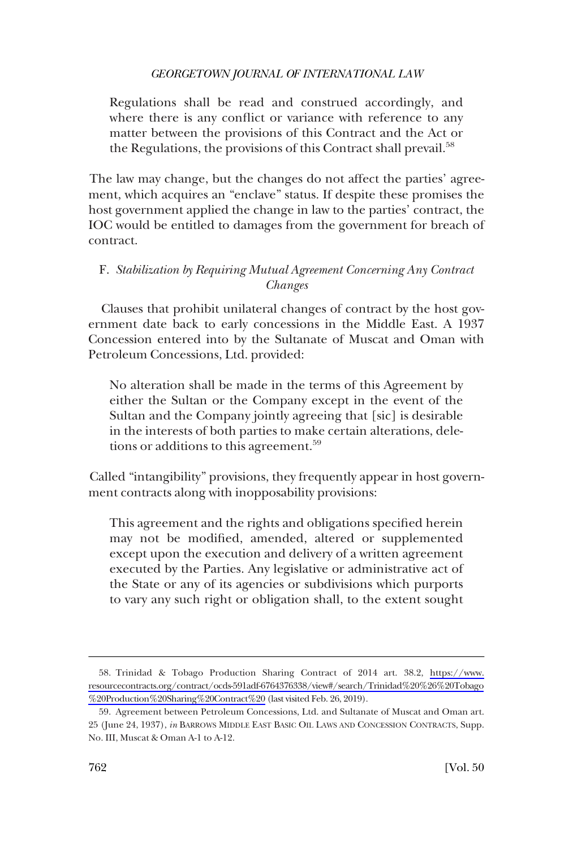<span id="page-17-0"></span>Regulations shall be read and construed accordingly, and where there is any conflict or variance with reference to any matter between the provisions of this Contract and the Act or the Regulations, the provisions of this Contract shall prevail.<sup>58</sup>

The law may change, but the changes do not affect the parties' agreement, which acquires an "enclave" status. If despite these promises the host government applied the change in law to the parties' contract, the IOC would be entitled to damages from the government for breach of contract.

## F. *Stabilization by Requiring Mutual Agreement Concerning Any Contract Changes*

Clauses that prohibit unilateral changes of contract by the host government date back to early concessions in the Middle East. A 1937 Concession entered into by the Sultanate of Muscat and Oman with Petroleum Concessions, Ltd. provided:

No alteration shall be made in the terms of this Agreement by either the Sultan or the Company except in the event of the Sultan and the Company jointly agreeing that [sic] is desirable in the interests of both parties to make certain alterations, deletions or additions to this agreement.<sup>59</sup>

Called "intangibility" provisions, they frequently appear in host government contracts along with inopposability provisions:

This agreement and the rights and obligations specifed herein may not be modifed, amended, altered or supplemented except upon the execution and delivery of a written agreement executed by the Parties. Any legislative or administrative act of the State or any of its agencies or subdivisions which purports to vary any such right or obligation shall, to the extent sought

Trinidad & Tobago Production Sharing Contract of 2014 art. 38.2, [https://www.](https://www.resourcecontracts.org/contract/ocds-591adf-6764376338/view#/search/Trinidad%20%26%20Tobago%20Production%20Sharing%20Contract%20) 58. [resourcecontracts.org/contract/ocds-591adf-6764376338/view#/search/Trinidad%20%26%20Tobago](https://www.resourcecontracts.org/contract/ocds-591adf-6764376338/view#/search/Trinidad%20%26%20Tobago%20Production%20Sharing%20Contract%20) [%20Production%20Sharing%20Contract%20](https://www.resourcecontracts.org/contract/ocds-591adf-6764376338/view#/search/Trinidad%20%26%20Tobago%20Production%20Sharing%20Contract%20) (last visited Feb. 26, 2019).

<sup>59.</sup> Agreement between Petroleum Concessions, Ltd. and Sultanate of Muscat and Oman art. 25 (June 24, 1937), *in* BARROWS MIDDLE EAST BASIC OIL LAWS AND CONCESSION CONTRACTS, Supp. No. III, Muscat & Oman A-1 to A-12.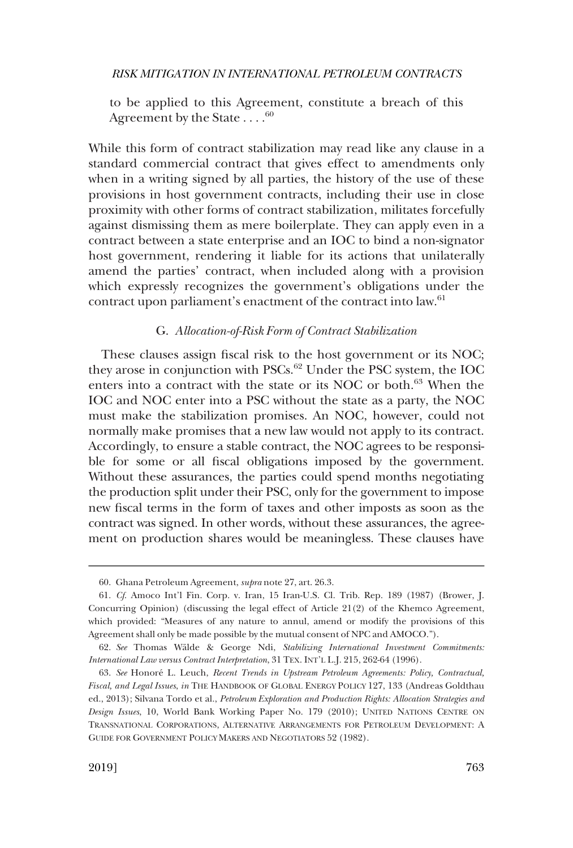<span id="page-18-0"></span>to be applied to this Agreement, constitute a breach of this Agreement by the State  $\dots$ .<sup>60</sup>

While this form of contract stabilization may read like any clause in a standard commercial contract that gives effect to amendments only when in a writing signed by all parties, the history of the use of these provisions in host government contracts, including their use in close proximity with other forms of contract stabilization, militates forcefully against dismissing them as mere boilerplate. They can apply even in a contract between a state enterprise and an IOC to bind a non-signator host government, rendering it liable for its actions that unilaterally amend the parties' contract, when included along with a provision which expressly recognizes the government's obligations under the contract upon parliament's enactment of the contract into law.<sup>61</sup>

## G. *Allocation-of-Risk Form of Contract Stabilization*

These clauses assign fscal risk to the host government or its NOC; they arose in conjunction with PSCs.<sup>62</sup> Under the PSC system, the IOC enters into a contract with the state or its NOC or both.<sup>63</sup> When the IOC and NOC enter into a PSC without the state as a party, the NOC must make the stabilization promises. An NOC, however, could not normally make promises that a new law would not apply to its contract. Accordingly, to ensure a stable contract, the NOC agrees to be responsible for some or all fscal obligations imposed by the government. Without these assurances, the parties could spend months negotiating the production split under their PSC, only for the government to impose new fscal terms in the form of taxes and other imposts as soon as the contract was signed. In other words, without these assurances, the agreement on production shares would be meaningless. These clauses have

<sup>60.</sup> Ghana Petroleum Agreement, *supra* note 27, art. 26.3.

<sup>61.</sup> *Cf*. Amoco Int'l Fin. Corp. v. Iran, 15 Iran-U.S. Cl. Trib. Rep. 189 (1987) (Brower, J. Concurring Opinion) (discussing the legal effect of Article 21(2) of the Khemco Agreement, which provided: "Measures of any nature to annul, amend or modify the provisions of this Agreement shall only be made possible by the mutual consent of NPC and AMOCO.").

<sup>62.</sup> *See* Thomas Wa¨lde & George Ndi, *Stabilizing International Investment Commitments: International Law versus Contract Interpretation*, 31 TEX. INT'L L.J. 215, 262-64 (1996).

<sup>63.</sup> *See* Honore´ L. Leuch, *Recent Trends in Upstream Petroleum Agreements: Policy, Contractual, Fiscal, and Legal Issues*, *in* THE HANDBOOK OF GLOBAL ENERGY POLICY 127, 133 (Andreas Goldthau ed., 2013); Silvana Tordo et al., *Petroleum Exploration and Production Rights: Allocation Strategies and Design Issues*, 10, World Bank Working Paper No. 179 (2010); UNITED NATIONS CENTRE ON TRANSNATIONAL CORPORATIONS, ALTERNATIVE ARRANGEMENTS FOR PETROLEUM DEVELOPMENT: A GUIDE FOR GOVERNMENT POLICY MAKERS AND NEGOTIATORS 52 (1982).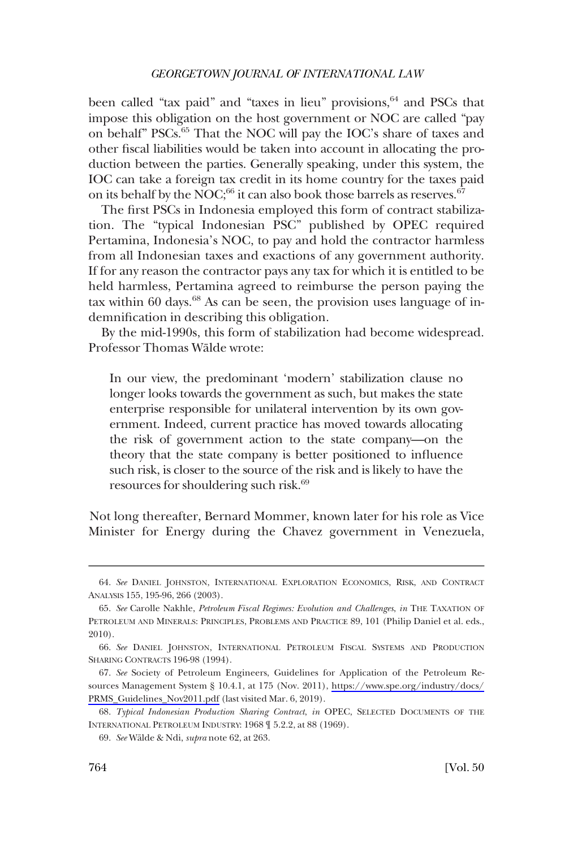been called "tax paid" and "taxes in lieu" provisions, <sup>64</sup> and PSCs that impose this obligation on the host government or NOC are called "pay on behalf" PSCs.65 That the NOC will pay the IOC's share of taxes and other fscal liabilities would be taken into account in allocating the production between the parties. Generally speaking, under this system, the IOC can take a foreign tax credit in its home country for the taxes paid on its behalf by the NOC;<sup>66</sup> it can also book those barrels as reserves.<sup>67</sup>

The frst PSCs in Indonesia employed this form of contract stabilization. The "typical Indonesian PSC" published by OPEC required Pertamina, Indonesia's NOC, to pay and hold the contractor harmless from all Indonesian taxes and exactions of any government authority. If for any reason the contractor pays any tax for which it is entitled to be held harmless, Pertamina agreed to reimburse the person paying the tax within 60 days. $68$  As can be seen, the provision uses language of indemnifcation in describing this obligation.

By the mid-1990s, this form of stabilization had become widespread. Professor Thomas Wälde wrote:

In our view, the predominant 'modern' stabilization clause no longer looks towards the government as such, but makes the state enterprise responsible for unilateral intervention by its own government. Indeed, current practice has moved towards allocating the risk of government action to the state company—on the theory that the state company is better positioned to infuence such risk, is closer to the source of the risk and is likely to have the resources for shouldering such risk.<sup>69</sup>

Not long thereafter, Bernard Mommer, known later for his role as Vice Minister for Energy during the Chavez government in Venezuela,

<sup>64.</sup> *See* DANIEL JOHNSTON, INTERNATIONAL EXPLORATION ECONOMICS, RISK, AND CONTRACT ANALYSIS 155, 195-96, 266 (2003).

<sup>65.</sup> *See* Carolle Nakhle, *Petroleum Fiscal Regimes: Evolution and Challenges*, *in* THE TAXATION OF PETROLEUM AND MINERALS: PRINCIPLES, PROBLEMS AND PRACTICE 89, 101 (Philip Daniel et al. eds., 2010).

<sup>66.</sup> *See* DANIEL JOHNSTON, INTERNATIONAL PETROLEUM FISCAL SYSTEMS AND PRODUCTION SHARING CONTRACTS 196-98 (1994).

*See* Society of Petroleum Engineers, Guidelines for Application of the Petroleum Re-67. sources Management System § 10.4.1, at 175 (Nov. 2011), [https://www.spe.org/industry/docs/](https://www.spe.org/industry/docs/PRMS_Guidelines_Nov2011.pdf)  [PRMS\\_Guidelines\\_Nov2011.pdf](https://www.spe.org/industry/docs/PRMS_Guidelines_Nov2011.pdf) (last visited Mar. 6, 2019).

<sup>68.</sup> *Typical Indonesian Production Sharing Contract*, *in* OPEC, SELECTED DOCUMENTS OF THE INTERNATIONAL PETROLEUM INDUSTRY: 1968 ¶ 5.2.2, at 88 (1969).

<sup>69.</sup> *See* Wa¨lde & Ndi, *supra* note 62, at 263.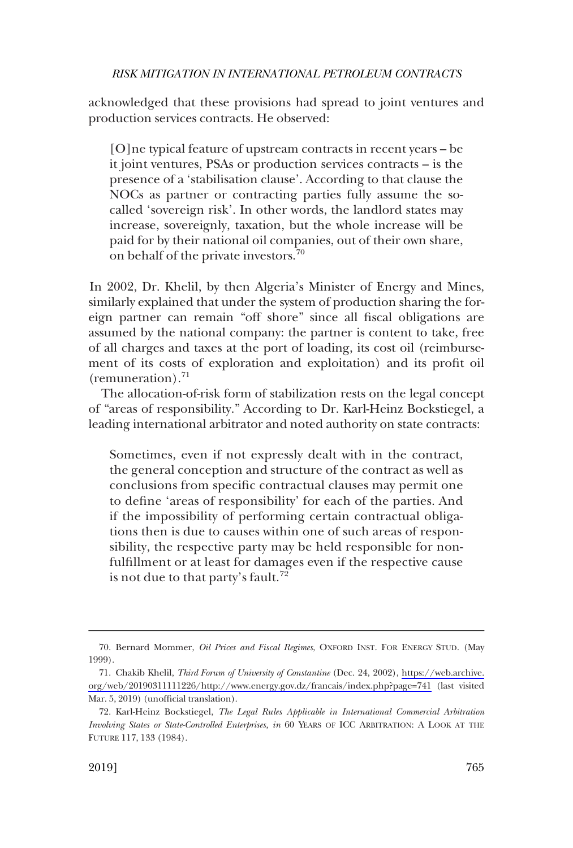acknowledged that these provisions had spread to joint ventures and production services contracts. He observed:

[O]ne typical feature of upstream contracts in recent years – be it joint ventures, PSAs or production services contracts – is the presence of a 'stabilisation clause'. According to that clause the NOCs as partner or contracting parties fully assume the socalled 'sovereign risk'. In other words, the landlord states may increase, sovereignly, taxation, but the whole increase will be paid for by their national oil companies, out of their own share, on behalf of the private investors.<sup>70</sup>

In 2002, Dr. Khelil, by then Algeria's Minister of Energy and Mines, similarly explained that under the system of production sharing the foreign partner can remain "off shore" since all fscal obligations are assumed by the national company: the partner is content to take, free of all charges and taxes at the port of loading, its cost oil (reimbursement of its costs of exploration and exploitation) and its proft oil (remuneration). $71$ 

The allocation-of-risk form of stabilization rests on the legal concept of "areas of responsibility." According to Dr. Karl-Heinz Bockstiegel, a leading international arbitrator and noted authority on state contracts:

Sometimes, even if not expressly dealt with in the contract, the general conception and structure of the contract as well as conclusions from specifc contractual clauses may permit one to defne 'areas of responsibility' for each of the parties. And if the impossibility of performing certain contractual obligations then is due to causes within one of such areas of responsibility, the respective party may be held responsible for nonfulfllment or at least for damages even if the respective cause is not due to that party's fault.<sup>72</sup>

<sup>70.</sup> Bernard Mommer, *Oil Prices and Fiscal Regimes*, OXFORD INST. FOR ENERGY STUD. (May 1999).

<sup>71.</sup> Chakib Khelil, *Third Forum of University of Constantine* (Dec. 24, 2002), https://web.archive. [org/web/20190311111226/http://www.energy.gov.dz/francais/index.php?page=741](https://web.archive.org/web/20190311111226/http://www.energy.gov.dz/francais/index.php?page=741) (last visited Mar. 5, 2019) (unofficial translation).

<sup>72.</sup> Karl-Heinz Bockstiegel, *The Legal Rules Applicable in International Commercial Arbitration Involving States or State-Controlled Enterprises, in* 60 YEARS OF ICC ARBITRATION: A LOOK AT THE FUTURE 117, 133 (1984).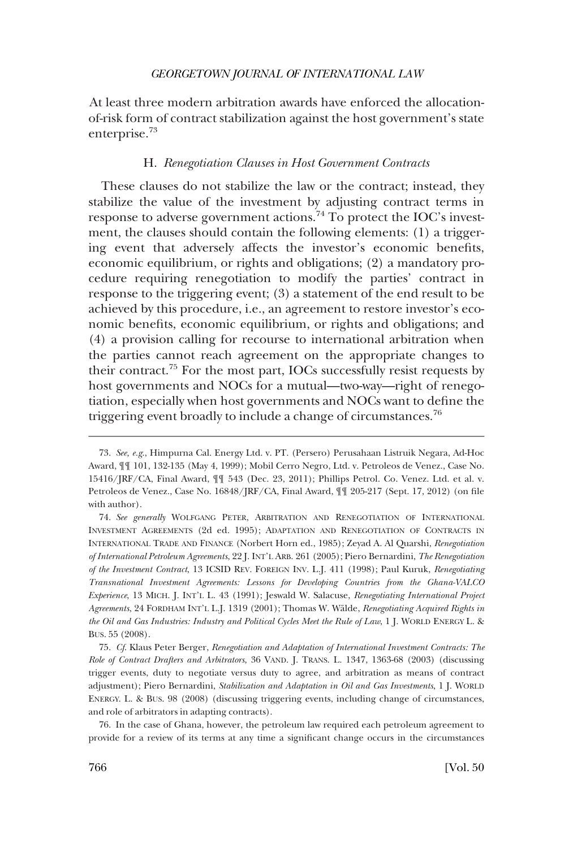<span id="page-21-0"></span>At least three modern arbitration awards have enforced the allocationof-risk form of contract stabilization against the host government's state enterprise.<sup>73</sup>

#### H. *Renegotiation Clauses in Host Government Contracts*

These clauses do not stabilize the law or the contract; instead, they stabilize the value of the investment by adjusting contract terms in response to adverse government actions.<sup>74</sup> To protect the IOC's investment, the clauses should contain the following elements: (1) a triggering event that adversely affects the investor's economic benefts, economic equilibrium, or rights and obligations; (2) a mandatory procedure requiring renegotiation to modify the parties' contract in response to the triggering event; (3) a statement of the end result to be achieved by this procedure, i.e., an agreement to restore investor's economic benefts, economic equilibrium, or rights and obligations; and (4) a provision calling for recourse to international arbitration when the parties cannot reach agreement on the appropriate changes to their contract.75 For the most part, IOCs successfully resist requests by host governments and NOCs for a mutual—two-way—right of renegotiation, especially when host governments and NOCs want to defne the triggering event broadly to include a change of circumstances.<sup>76</sup>

76. In the case of Ghana, however, the petroleum law required each petroleum agreement to provide for a review of its terms at any time a signifcant change occurs in the circumstances

<sup>73.</sup> *See, e.g*., Himpurna Cal. Energy Ltd. v. PT. (Persero) Perusahaan Listruik Negara, Ad-Hoc Award, ¶¶ 101, 132-135 (May 4, 1999); Mobil Cerro Negro, Ltd. v. Petroleos de Venez., Case No. 15416/JRF/CA, Final Award, ¶¶ 543 (Dec. 23, 2011); Phillips Petrol. Co. Venez. Ltd. et al. v. Petroleos de Venez., Case No. 16848/JRF/CA, Final Award, ¶¶ 205-217 (Sept. 17, 2012) (on fle with author).

<sup>74.</sup> *See generally* WOLFGANG PETER, ARBITRATION AND RENEGOTIATION OF INTERNATIONAL INVESTMENT AGREEMENTS (2d ed. 1995); ADAPTATION AND RENEGOTIATION OF CONTRACTS IN INTERNATIONAL TRADE AND FINANCE (Norbert Horn ed., 1985); Zeyad A. Al Quarshi, *Renegotiation of International Petroleum Agreements*, 22 J. INT'L ARB. 261 (2005); Piero Bernardini, *The Renegotiation of the Investment Contract*, 13 ICSID REV. FOREIGN INV. L.J. 411 (1998); Paul Kuruk, *Renegotiating Transnational Investment Agreements: Lessons for Developing Countries from the Ghana-VALCO Experience*, 13 MICH. J. INT'L L. 43 (1991); Jeswald W. Salacuse, *Renegotiating International Project Agreements*, 24 FORDHAM INT'L L.J. 1319 (2001); Thomas W. Wa¨lde, *Renegotiating Acquired Rights in the Oil and Gas Industries: Industry and Political Cycles Meet the Rule of Law*, 1 J. WORLD ENERGY L. & BUS. 55 (2008).

<sup>75.</sup> *Cf*. Klaus Peter Berger, *Renegotiation and Adaptation of International Investment Contracts: The Role of Contract Drafters and Arbitrators*, 36 VAND. J. TRANS. L. 1347, 1363-68 (2003) (discussing trigger events, duty to negotiate versus duty to agree, and arbitration as means of contract adjustment); Piero Bernardini, *Stabilization and Adaptation in Oil and Gas Investments*, 1 J. WORLD ENERGY. L. & BUS. 98 (2008) (discussing triggering events, including change of circumstances, and role of arbitrators in adapting contracts).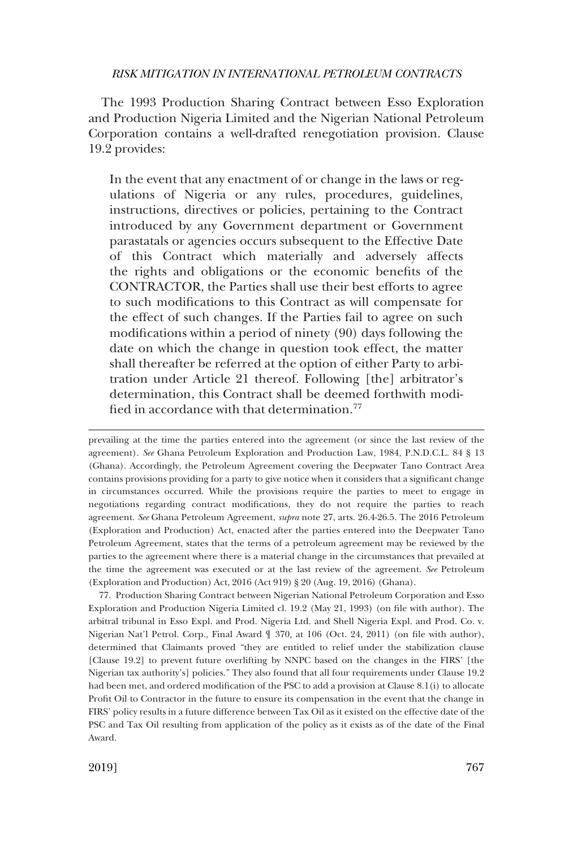The 1993 Production Sharing Contract between Esso Exploration and Production Nigeria Limited and the Nigerian National Petroleum Corporation contains a well-drafted renegotiation provision. Clause 19.2 provides:

In the event that any enactment of or change in the laws or regulations of Nigeria or any rules, procedures, guidelines, instructions, directives or policies, pertaining to the Contract introduced by any Government department or Government parastatals or agencies occurs subsequent to the Effective Date of this Contract which materially and adversely affects the rights and obligations or the economic benefts of the CONTRACTOR, the Parties shall use their best efforts to agree to such modifcations to this Contract as will compensate for the effect of such changes. If the Parties fail to agree on such modifcations within a period of ninety (90) days following the date on which the change in question took effect, the matter shall thereafter be referred at the option of either Party to arbitration under Article 21 thereof. Following [the] arbitrator's determination, this Contract shall be deemed forthwith modified in accordance with that determination.<sup>77</sup>

prevailing at the time the parties entered into the agreement (or since the last review of the agreement). *See* Ghana Petroleum Exploration and Production Law, 1984, P.N.D.C.L. 84 § 13 (Ghana). Accordingly, the Petroleum Agreement covering the Deepwater Tano Contract Area contains provisions providing for a party to give notice when it considers that a signifcant change in circumstances occurred. While the provisions require the parties to meet to engage in negotiations regarding contract modifcations, they do not require the parties to reach agreement. *See* Ghana Petroleum Agreement, *supra* note 27, arts. 26.4-26.5. The 2016 Petroleum (Exploration and Production) Act, enacted after the parties entered into the Deepwater Tano Petroleum Agreement, states that the terms of a petroleum agreement may be reviewed by the parties to the agreement where there is a material change in the circumstances that prevailed at the time the agreement was executed or at the last review of the agreement. *See* Petroleum (Exploration and Production) Act, 2016 (Act 919) § 20 (Aug. 19, 2016) (Ghana).

77. Production Sharing Contract between Nigerian National Petroleum Corporation and Esso Exploration and Production Nigeria Limited cl. 19.2 (May 21, 1993) (on fle with author). The arbitral tribunal in Esso Expl. and Prod. Nigeria Ltd. and Shell Nigeria Expl. and Prod. Co. v. Nigerian Nat'l Petrol. Corp., Final Award ¶ 370, at 106 (Oct. 24, 2011) (on fle with author), determined that Claimants proved "they are entitled to relief under the stabilization clause [Clause 19.2] to prevent future overlifting by NNPC based on the changes in the FIRS' [the Nigerian tax authority's] policies." They also found that all four requirements under Clause 19.2 had been met, and ordered modifcation of the PSC to add a provision at Clause 8.1(i) to allocate Proft Oil to Contractor in the future to ensure its compensation in the event that the change in FIRS' policy results in a future difference between Tax Oil as it existed on the effective date of the PSC and Tax Oil resulting from application of the policy as it exists as of the date of the Final Award.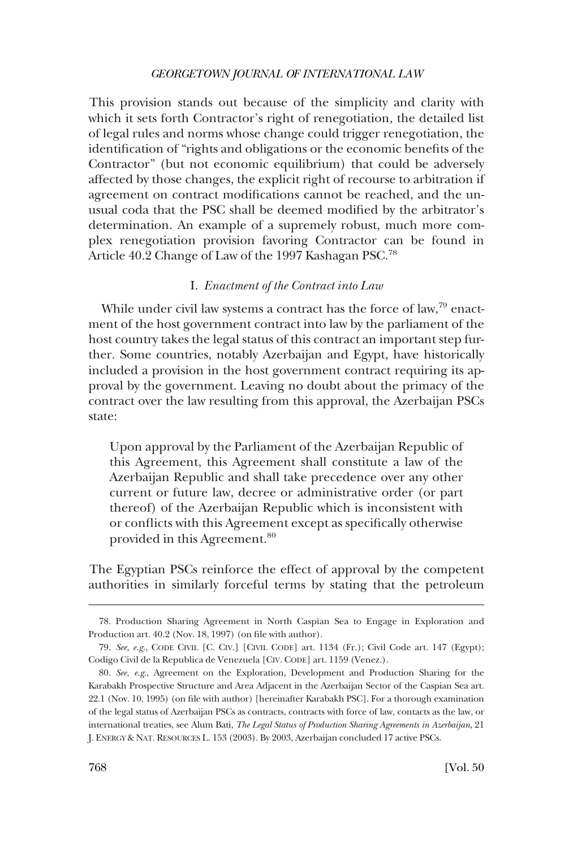<span id="page-23-0"></span>This provision stands out because of the simplicity and clarity with which it sets forth Contractor's right of renegotiation, the detailed list of legal rules and norms whose change could trigger renegotiation, the identifcation of "rights and obligations or the economic benefts of the Contractor" (but not economic equilibrium) that could be adversely affected by those changes, the explicit right of recourse to arbitration if agreement on contract modifcations cannot be reached, and the unusual coda that the PSC shall be deemed modifed by the arbitrator's determination. An example of a supremely robust, much more complex renegotiation provision favoring Contractor can be found in Article 40.2 Change of Law of the 1997 Kashagan PSC.<sup>78</sup>

## I. *Enactment of the Contract into Law*

While under civil law systems a contract has the force of law, $^{79}$  enactment of the host government contract into law by the parliament of the host country takes the legal status of this contract an important step further. Some countries, notably Azerbaijan and Egypt, have historically included a provision in the host government contract requiring its approval by the government. Leaving no doubt about the primacy of the contract over the law resulting from this approval, the Azerbaijan PSCs state:

Upon approval by the Parliament of the Azerbaijan Republic of this Agreement, this Agreement shall constitute a law of the Azerbaijan Republic and shall take precedence over any other current or future law, decree or administrative order (or part thereof) of the Azerbaijan Republic which is inconsistent with or conficts with this Agreement except as specifcally otherwise provided in this Agreement.<sup>80</sup>

The Egyptian PSCs reinforce the effect of approval by the competent authorities in similarly forceful terms by stating that the petroleum

<sup>78.</sup> Production Sharing Agreement in North Caspian Sea to Engage in Exploration and Production art. 40.2 (Nov. 18, 1997) (on fle with author).

<sup>79.</sup> *See, e.g*., CODE CIVIL [C. CIV.] [CIVIL CODE] art. 1134 (Fr.); Civil Code art. 147 (Egypt); Codigo Civil de la Republica de Venezuela [CIV. CODE] art. 1159 (Venez.).

<sup>80.</sup> *See, e.g*., Agreement on the Exploration, Development and Production Sharing for the Karabakh Prospective Structure and Area Adjacent in the Azerbaijan Sector of the Caspian Sea art. 22.1 (Nov. 10, 1995) (on fle with author) [hereinafter Karabakh PSC]. For a thorough examination of the legal status of Azerbaijan PSCs as contracts, contracts with force of law, contacts as the law, or international treaties, see Alum Bati, *The Legal Status of Production Sharing Agreements in Azerbaijan*, 21 J. ENERGY & NAT. RESOURCES L. 153 (2003). By 2003, Azerbaijan concluded 17 active PSCs.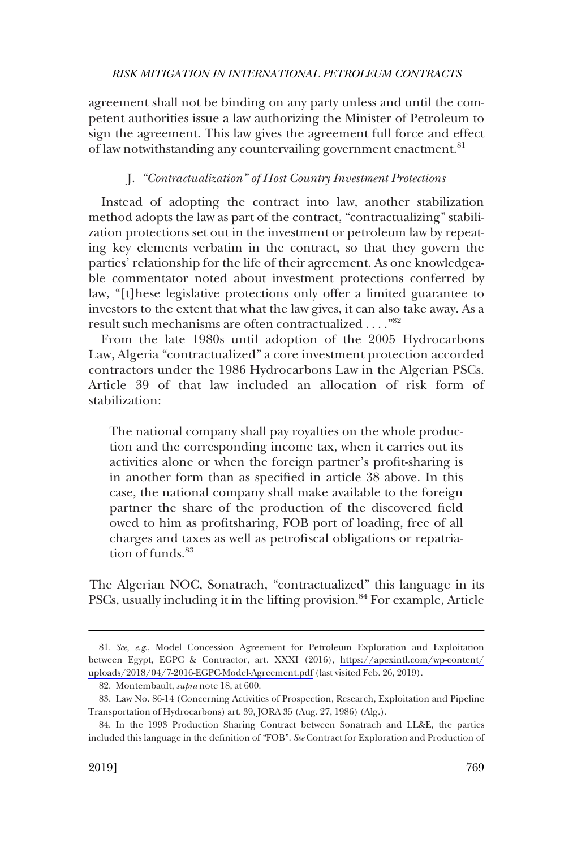<span id="page-24-0"></span>agreement shall not be binding on any party unless and until the competent authorities issue a law authorizing the Minister of Petroleum to sign the agreement. This law gives the agreement full force and effect of law notwithstanding any countervailing government enactment.<sup>81</sup>

## J. *"Contractualization" of Host Country Investment Protections*

Instead of adopting the contract into law, another stabilization method adopts the law as part of the contract, "contractualizing" stabilization protections set out in the investment or petroleum law by repeating key elements verbatim in the contract, so that they govern the parties' relationship for the life of their agreement. As one knowledgeable commentator noted about investment protections conferred by law, "[t]hese legislative protections only offer a limited guarantee to investors to the extent that what the law gives, it can also take away. As a result such mechanisms are often contractualized . . . ."82

From the late 1980s until adoption of the 2005 Hydrocarbons Law, Algeria "contractualized" a core investment protection accorded contractors under the 1986 Hydrocarbons Law in the Algerian PSCs. Article 39 of that law included an allocation of risk form of stabilization:

The national company shall pay royalties on the whole production and the corresponding income tax, when it carries out its activities alone or when the foreign partner's proft-sharing is in another form than as specifed in article 38 above. In this case, the national company shall make available to the foreign partner the share of the production of the discovered feld owed to him as proftsharing, FOB port of loading, free of all charges and taxes as well as petrofscal obligations or repatriation of funds.<sup>83</sup>

The Algerian NOC, Sonatrach, "contractualized" this language in its PSCs, usually including it in the lifting provision.<sup>84</sup> For example, Article

*See, e.g*., Model Concession Agreement for Petroleum Exploration and Exploitation 81. between Egypt, EGPC & Contractor, art. XXXI (2016), [https://apexintl.com/wp-content/](https://apexintl.com/wp-content/uploads/2018/04/7-2016-EGPC-Model-Agreement.pdf)  [uploads/2018/04/7-2016-EGPC-Model-Agreement.pdf](https://apexintl.com/wp-content/uploads/2018/04/7-2016-EGPC-Model-Agreement.pdf) (last visited Feb. 26, 2019).

<sup>82.</sup> Montembault, *supra* note 18, at 600.

<sup>83.</sup> Law No. 86-14 (Concerning Activities of Prospection, Research, Exploitation and Pipeline Transportation of Hydrocarbons) art. 39, JORA 35 (Aug. 27, 1986) (Alg.).

<sup>84.</sup> In the 1993 Production Sharing Contract between Sonatrach and LL&E, the parties included this language in the defnition of "FOB". *See* Contract for Exploration and Production of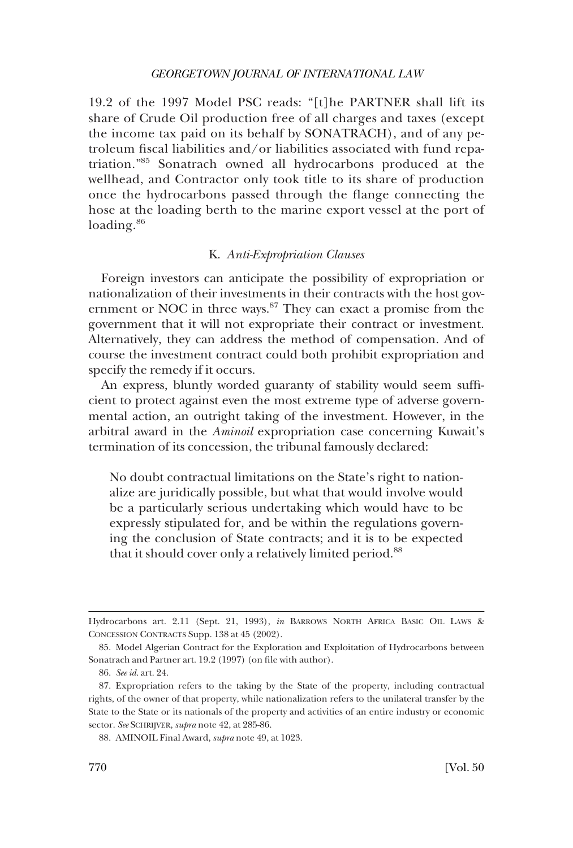<span id="page-25-0"></span>19.2 of the 1997 Model PSC reads: "[t]he PARTNER shall lift its share of Crude Oil production free of all charges and taxes (except the income tax paid on its behalf by SONATRACH), and of any petroleum fscal liabilities and/or liabilities associated with fund repatriation."85 Sonatrach owned all hydrocarbons produced at the wellhead, and Contractor only took title to its share of production once the hydrocarbons passed through the fange connecting the hose at the loading berth to the marine export vessel at the port of loading.<sup>86</sup>

#### K. *Anti-Expropriation Clauses*

Foreign investors can anticipate the possibility of expropriation or nationalization of their investments in their contracts with the host government or NOC in three ways. $87$  They can exact a promise from the government that it will not expropriate their contract or investment. Alternatively, they can address the method of compensation. And of course the investment contract could both prohibit expropriation and specify the remedy if it occurs.

An express, bluntly worded guaranty of stability would seem suffcient to protect against even the most extreme type of adverse governmental action, an outright taking of the investment. However, in the arbitral award in the *Aminoil* expropriation case concerning Kuwait's termination of its concession, the tribunal famously declared:

No doubt contractual limitations on the State's right to nationalize are juridically possible, but what that would involve would be a particularly serious undertaking which would have to be expressly stipulated for, and be within the regulations governing the conclusion of State contracts; and it is to be expected that it should cover only a relatively limited period.<sup>88</sup>

Hydrocarbons art. 2.11 (Sept. 21, 1993), *in* BARROWS NORTH AFRICA BASIC OIL LAWS & CONCESSION CONTRACTS Supp. 138 at 45 (2002).

<sup>85.</sup> Model Algerian Contract for the Exploration and Exploitation of Hydrocarbons between Sonatrach and Partner art. 19.2 (1997) (on fle with author).

<sup>86.</sup> *See id*. art. 24.

<sup>87.</sup> Expropriation refers to the taking by the State of the property, including contractual rights, of the owner of that property, while nationalization refers to the unilateral transfer by the State to the State or its nationals of the property and activities of an entire industry or economic sector. *See* SCHRIJVER, *supra* note 42, at 285-86.

<sup>88.</sup> AMINOIL Final Award, *supra* note 49, at 1023.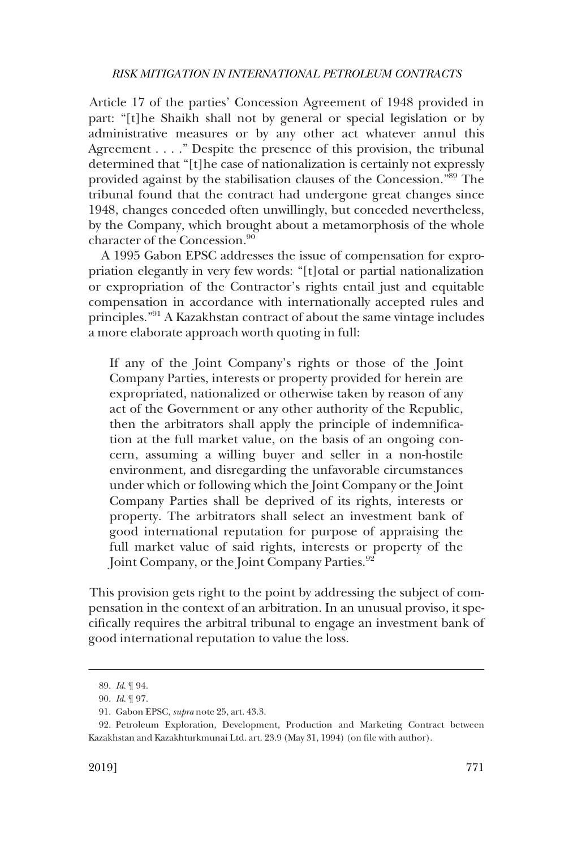Article 17 of the parties' Concession Agreement of 1948 provided in part: "[t]he Shaikh shall not by general or special legislation or by administrative measures or by any other act whatever annul this Agreement . . . ." Despite the presence of this provision, the tribunal determined that "[t]he case of nationalization is certainly not expressly provided against by the stabilisation clauses of the Concession."89 The tribunal found that the contract had undergone great changes since 1948, changes conceded often unwillingly, but conceded nevertheless, by the Company, which brought about a metamorphosis of the whole character of the Concession.<sup>90</sup>

A 1995 Gabon EPSC addresses the issue of compensation for expropriation elegantly in very few words: "[t]otal or partial nationalization or expropriation of the Contractor's rights entail just and equitable compensation in accordance with internationally accepted rules and principles."91 A Kazakhstan contract of about the same vintage includes a more elaborate approach worth quoting in full:

If any of the Joint Company's rights or those of the Joint Company Parties, interests or property provided for herein are expropriated, nationalized or otherwise taken by reason of any act of the Government or any other authority of the Republic, then the arbitrators shall apply the principle of indemnifcation at the full market value, on the basis of an ongoing concern, assuming a willing buyer and seller in a non-hostile environment, and disregarding the unfavorable circumstances under which or following which the Joint Company or the Joint Company Parties shall be deprived of its rights, interests or property. The arbitrators shall select an investment bank of good international reputation for purpose of appraising the full market value of said rights, interests or property of the Joint Company, or the Joint Company Parties.<sup>92</sup>

This provision gets right to the point by addressing the subject of compensation in the context of an arbitration. In an unusual proviso, it specifcally requires the arbitral tribunal to engage an investment bank of good international reputation to value the loss.

<sup>89.</sup> *Id*. ¶ 94.

<sup>90.</sup> *Id*. ¶ 97.

<sup>91.</sup> Gabon EPSC, *supra* note 25, art. 43.3.

<sup>92.</sup> Petroleum Exploration, Development, Production and Marketing Contract between Kazakhstan and Kazakhturkmunai Ltd. art. 23.9 (May 31, 1994) (on fle with author).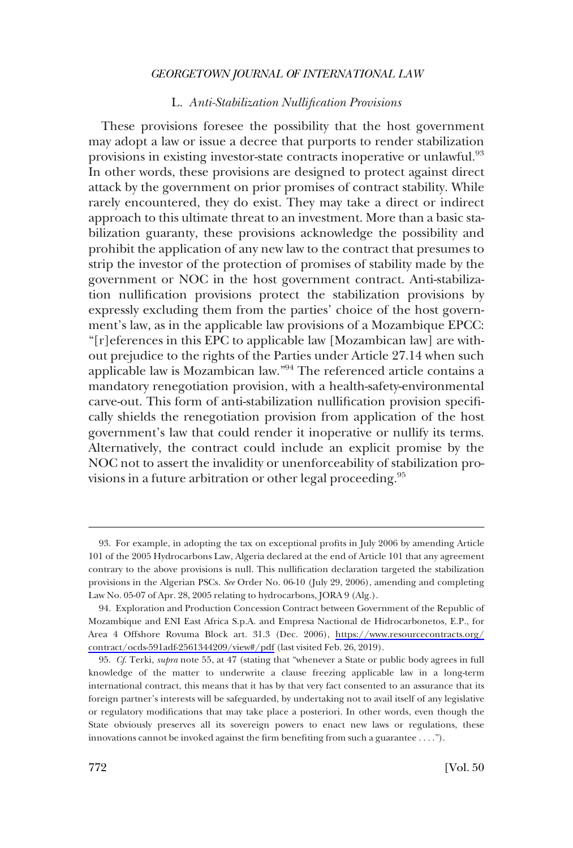### L. *Anti-Stabilization Nullifcation Provisions*

<span id="page-27-0"></span>These provisions foresee the possibility that the host government may adopt a law or issue a decree that purports to render stabilization provisions in existing investor-state contracts inoperative or unlawful.<sup>93</sup> In other words, these provisions are designed to protect against direct attack by the government on prior promises of contract stability. While rarely encountered, they do exist. They may take a direct or indirect approach to this ultimate threat to an investment. More than a basic stabilization guaranty, these provisions acknowledge the possibility and prohibit the application of any new law to the contract that presumes to strip the investor of the protection of promises of stability made by the government or NOC in the host government contract. Anti-stabilization nullifcation provisions protect the stabilization provisions by expressly excluding them from the parties' choice of the host government's law, as in the applicable law provisions of a Mozambique EPCC: "[r]eferences in this EPC to applicable law [Mozambican law] are without prejudice to the rights of the Parties under Article 27.14 when such applicable law is Mozambican law."94 The referenced article contains a mandatory renegotiation provision, with a health-safety-environmental carve-out. This form of anti-stabilization nullifcation provision specifcally shields the renegotiation provision from application of the host government's law that could render it inoperative or nullify its terms. Alternatively, the contract could include an explicit promise by the NOC not to assert the invalidity or unenforceability of stabilization provisions in a future arbitration or other legal proceeding.<sup>95</sup>

<sup>93.</sup> For example, in adopting the tax on exceptional profts in July 2006 by amending Article 101 of the 2005 Hydrocarbons Law, Algeria declared at the end of Article 101 that any agreement contrary to the above provisions is null. This nullifcation declaration targeted the stabilization provisions in the Algerian PSCs. *See* Order No. 06-10 (July 29, 2006), amending and completing Law No. 05-07 of Apr. 28, 2005 relating to hydrocarbons, JORA 9 (Alg.).

Exploration and Production Concession Contract between Government of the Republic of 94. Mozambique and ENI East Africa S.p.A. and Empresa Nactional de Hidrocarbonetos, E.P., for Area 4 Offshore Rovuma Block art. 31.3 (Dec. 2006), [https://www.resourcecontracts.org/](https://www.resourcecontracts.org/contract/ocds-591adf-2561344209/view#/pdf)  [contract/ocds-591adf-2561344209/view#/pdf](https://www.resourcecontracts.org/contract/ocds-591adf-2561344209/view#/pdf) (last visited Feb. 26, 2019).

<sup>95.</sup> *Cf*. Terki, *supra* note 55, at 47 (stating that "whenever a State or public body agrees in full knowledge of the matter to underwrite a clause freezing applicable law in a long-term international contract, this means that it has by that very fact consented to an assurance that its foreign partner's interests will be safeguarded, by undertaking not to avail itself of any legislative or regulatory modifcations that may take place a posteriori. In other words, even though the State obviously preserves all its sovereign powers to enact new laws or regulations, these innovations cannot be invoked against the frm benefting from such a guarantee . . . .").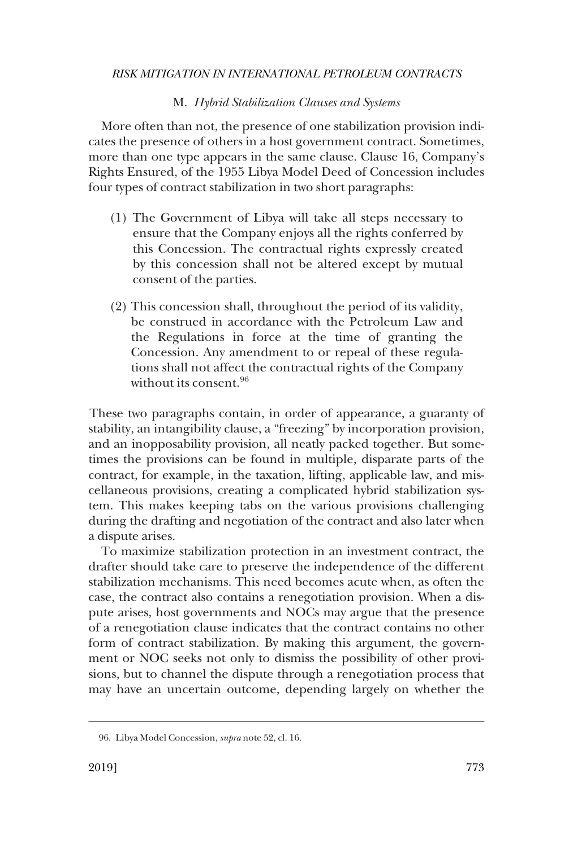### M. *Hybrid Stabilization Clauses and Systems*

<span id="page-28-0"></span>More often than not, the presence of one stabilization provision indicates the presence of others in a host government contract. Sometimes, more than one type appears in the same clause. Clause 16, Company's Rights Ensured, of the 1955 Libya Model Deed of Concession includes four types of contract stabilization in two short paragraphs:

- (1) The Government of Libya will take all steps necessary to ensure that the Company enjoys all the rights conferred by this Concession. The contractual rights expressly created by this concession shall not be altered except by mutual consent of the parties.
- (2) This concession shall, throughout the period of its validity, be construed in accordance with the Petroleum Law and the Regulations in force at the time of granting the Concession. Any amendment to or repeal of these regulations shall not affect the contractual rights of the Company without its consent.<sup>96</sup>

These two paragraphs contain, in order of appearance, a guaranty of stability, an intangibility clause, a "freezing" by incorporation provision, and an inopposability provision, all neatly packed together. But sometimes the provisions can be found in multiple, disparate parts of the contract, for example, in the taxation, lifting, applicable law, and miscellaneous provisions, creating a complicated hybrid stabilization system. This makes keeping tabs on the various provisions challenging during the drafting and negotiation of the contract and also later when a dispute arises.

To maximize stabilization protection in an investment contract, the drafter should take care to preserve the independence of the different stabilization mechanisms. This need becomes acute when, as often the case, the contract also contains a renegotiation provision. When a dispute arises, host governments and NOCs may argue that the presence of a renegotiation clause indicates that the contract contains no other form of contract stabilization. By making this argument, the government or NOC seeks not only to dismiss the possibility of other provisions, but to channel the dispute through a renegotiation process that may have an uncertain outcome, depending largely on whether the

<sup>96.</sup> Libya Model Concession, *supra* note 52, cl. 16.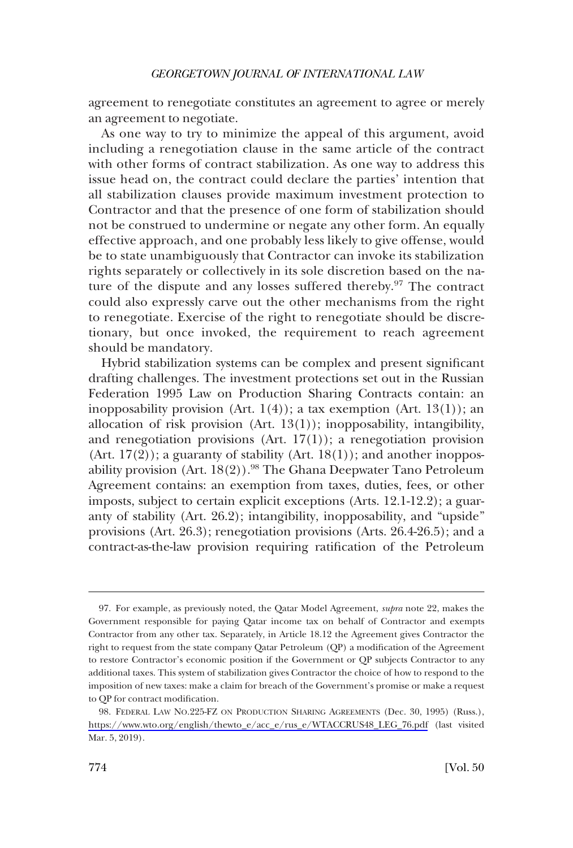agreement to renegotiate constitutes an agreement to agree or merely an agreement to negotiate.

As one way to try to minimize the appeal of this argument, avoid including a renegotiation clause in the same article of the contract with other forms of contract stabilization. As one way to address this issue head on, the contract could declare the parties' intention that all stabilization clauses provide maximum investment protection to Contractor and that the presence of one form of stabilization should not be construed to undermine or negate any other form. An equally effective approach, and one probably less likely to give offense, would be to state unambiguously that Contractor can invoke its stabilization rights separately or collectively in its sole discretion based on the nature of the dispute and any losses suffered thereby. $97$  The contract could also expressly carve out the other mechanisms from the right to renegotiate. Exercise of the right to renegotiate should be discretionary, but once invoked, the requirement to reach agreement should be mandatory.

Hybrid stabilization systems can be complex and present signifcant drafting challenges. The investment protections set out in the Russian Federation 1995 Law on Production Sharing Contracts contain: an inopposability provision (Art.  $1(4)$ ); a tax exemption (Art.  $13(1)$ ); an allocation of risk provision (Art. 13(1)); inopposability, intangibility, and renegotiation provisions (Art.  $17(1)$ ); a renegotiation provision (Art.  $17(2)$ ); a guaranty of stability (Art.  $18(1)$ ); and another inopposability provision (Art.  $18(2)$ ).<sup>98</sup> The Ghana Deepwater Tano Petroleum Agreement contains: an exemption from taxes, duties, fees, or other imposts, subject to certain explicit exceptions (Arts. 12.1-12.2); a guaranty of stability (Art. 26.2); intangibility, inopposability, and "upside" provisions (Art. 26.3); renegotiation provisions (Arts. 26.4-26.5); and a contract-as-the-law provision requiring ratifcation of the Petroleum

<sup>97.</sup> For example, as previously noted, the Qatar Model Agreement, *supra* note 22, makes the Government responsible for paying Qatar income tax on behalf of Contractor and exempts Contractor from any other tax. Separately, in Article 18.12 the Agreement gives Contractor the right to request from the state company Qatar Petroleum (QP) a modifcation of the Agreement to restore Contractor's economic position if the Government or QP subjects Contractor to any additional taxes. This system of stabilization gives Contractor the choice of how to respond to the imposition of new taxes: make a claim for breach of the Government's promise or make a request to QP for contract modifcation.

<sup>98.</sup> FEDERAL LAW NO.225-FZ ON PRODUCTION SHARING AGREEMENTS (Dec. 30, 1995) (Russ.), [https://www.wto.org/english/thewto\\_e/acc\\_e/rus\\_e/WTACCRUS48\\_LEG\\_76.pdf](https://www.wto.org/english/thewto_e/acc_e/rus_e/WTACCRUS48_LEG_76.pdf) (last visited Mar. 5, 2019).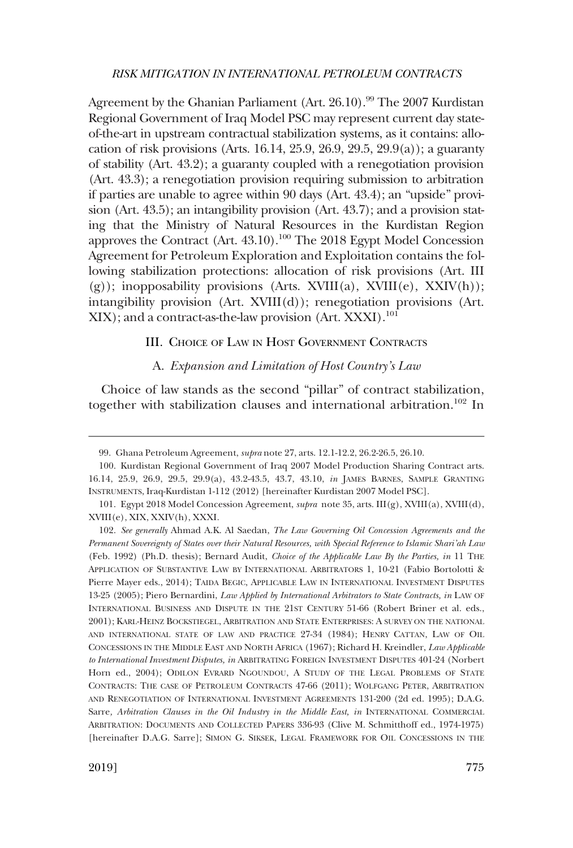<span id="page-30-0"></span>Agreement by the Ghanian Parliament (Art. 26.10).<sup>99</sup> The 2007 Kurdistan Regional Government of Iraq Model PSC may represent current day stateof-the-art in upstream contractual stabilization systems, as it contains: allocation of risk provisions (Arts. 16.14, 25.9, 26.9, 29.5, 29.9(a)); a guaranty of stability (Art. 43.2); a guaranty coupled with a renegotiation provision (Art. 43.3); a renegotiation provision requiring submission to arbitration if parties are unable to agree within 90 days (Art. 43.4); an "upside" provision (Art. 43.5); an intangibility provision (Art. 43.7); and a provision stating that the Ministry of Natural Resources in the Kurdistan Region approves the Contract (Art.  $43.10$ ).<sup>100</sup> The 2018 Egypt Model Concession Agreement for Petroleum Exploration and Exploitation contains the following stabilization protections: allocation of risk provisions (Art. III  $(g)$ ; inopposability provisions (Arts. XVIII(a), XVIII(e), XXIV(h)); intangibility provision (Art. XVIII(d)); renegotiation provisions (Art. XIX); and a contract-as-the-law provision (Art. XXXI).<sup>101</sup>

## III. CHOICE OF LAW IN HOST GOVERNMENT CONTRACTS

#### A. *Expansion and Limitation of Host Country's Law*

Choice of law stands as the second "pillar" of contract stabilization, together with stabilization clauses and international arbitration.<sup>102</sup> In

<sup>99.</sup> Ghana Petroleum Agreement, *supra* note 27, arts. 12.1-12.2, 26.2-26.5, 26.10.

<sup>100.</sup> Kurdistan Regional Government of Iraq 2007 Model Production Sharing Contract arts. 16.14, 25.9, 26.9, 29.5, 29.9(a), 43.2-43.5, 43.7, 43.10, *in* JAMES BARNES, SAMPLE GRANTING INSTRUMENTS, Iraq-Kurdistan 1-112 (2012) [hereinafter Kurdistan 2007 Model PSC].

<sup>101.</sup> Egypt 2018 Model Concession Agreement, *supra* note 35, arts. III(g), XVIII(a), XVIII(d), XVIII(e), XIX, XXIV(h), XXXI.

<sup>102.</sup> *See generally* Ahmad A.K. Al Saedan, *The Law Governing Oil Concession Agreements and the Permanent Sovereignty of States over their Natural Resources, with Special Reference to Islamic Shari'ah Law*  (Feb. 1992) (Ph.D. thesis); Bernard Audit, *Choice of the Applicable Law By the Parties, in* 11 THE APPLICATION OF SUBSTANTIVE LAW BY INTERNATIONAL ARBITRATORS 1, 10-21 (Fabio Bortolotti & Pierre Mayer eds., 2014); TAIDA BEGIC, APPLICABLE LAW IN INTERNATIONAL INVESTMENT DISPUTES 13-25 (2005); Piero Bernardini, *Law Applied by International Arbitrators to State Contracts, in* LAW OF INTERNATIONAL BUSINESS AND DISPUTE IN THE 21ST CENTURY 51-66 (Robert Briner et al. eds., 2001); KARL-HEINZ BOCKSTIEGEL, ARBITRATION AND STATE ENTERPRISES: A SURVEY ON THE NATIONAL AND INTERNATIONAL STATE OF LAW AND PRACTICE 27-34 (1984); HENRY CATTAN, LAW OF OIL CONCESSIONS IN THE MIDDLE EAST AND NORTH AFRICA (1967); Richard H. Kreindler, *Law Applicable to International Investment Disputes, in* ARBITRATING FOREIGN INVESTMENT DISPUTES 401-24 (Norbert Horn ed., 2004); ODILON EVRARD NGOUNDOU, A STUDY OF THE LEGAL PROBLEMS OF STATE CONTRACTS: THE CASE OF PETROLEUM CONTRACTS 47-66 (2011); WOLFGANG PETER, ARBITRATION AND RENEGOTIATION OF INTERNATIONAL INVESTMENT AGREEMENTS 131-200 (2d ed. 1995); D.A.G. Sarre, Arbitration Clauses in the Oil Industry in the Middle East, in INTERNATIONAL COMMERCIAL ARBITRATION: DOCUMENTS AND COLLECTED PAPERS 336-93 (Clive M. Schmitthoff ed., 1974-1975) [hereinafter D.A.G. Sarre]; SIMON G. SIKSEK, LEGAL FRAMEWORK FOR OIL CONCESSIONS IN THE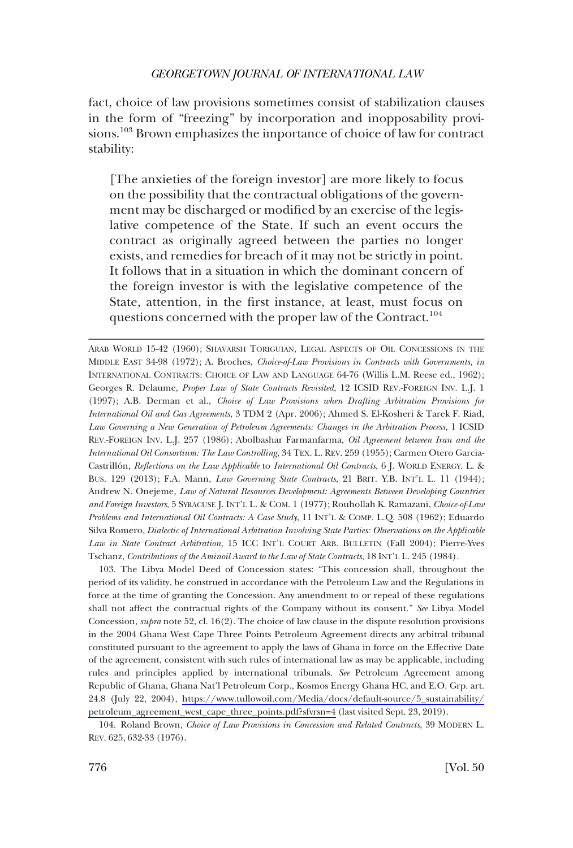fact, choice of law provisions sometimes consist of stabilization clauses in the form of "freezing" by incorporation and inopposability provisions.103 Brown emphasizes the importance of choice of law for contract stability:

[The anxieties of the foreign investor] are more likely to focus on the possibility that the contractual obligations of the government may be discharged or modifed by an exercise of the legislative competence of the State. If such an event occurs the contract as originally agreed between the parties no longer exists, and remedies for breach of it may not be strictly in point. It follows that in a situation in which the dominant concern of the foreign investor is with the legislative competence of the State, attention, in the frst instance, at least, must focus on questions concerned with the proper law of the Contract.<sup>104</sup>

ARAB WORLD 15-42 (1960); SHAVARSH TORIGUIAN, LEGAL ASPECTS OF OIL CONCESSIONS IN THE MIDDLE EAST 34-98 (1972); A. Broches, *Choice-of-Law Provisions in Contracts with Governments, in*  INTERNATIONAL CONTRACTS: CHOICE OF LAW AND LANGUAGE 64-76 (Willis L.M. Reese ed., 1962); Georges R. Delaume, *Proper Law of State Contracts Revisited*, 12 ICSID REV.-FOREIGN INV. L.J. 1 (1997); A.B. Derman et al., *Choice of Law Provisions when Drafting Arbitration Provisions for International Oil and Gas Agreements*, 3 TDM 2 (Apr. 2006); Ahmed S. El-Kosheri & Tarek F. Riad, *Law Governing a New Generation of Petroleum Agreements: Changes in the Arbitration Process*, 1 ICSID REV.-FOREIGN INV. L.J. 257 (1986); Abolbashar Farmanfarma, *Oil Agreement between Iran and the International Oil Consortium: The Law Controlling*, 34 TEX. L. REV. 259 (1955); Carmen Otero Garcia-Castrillo´n, *Refections on the Law Applicable* to *International Oil Contracts*, 6 J. WORLD ENERGY. L. & BUS. 129 (2013); F.A. Mann, *Law Governing State Contracts*, 21 BRIT. Y.B. INT'L L. 11 (1944); Andrew N. Onejeme, *Law of Natural Resources Development: Agreements Between Developing Countries and Foreign Investors*, 5 SYRACUSE J. INT'L L. & COM. 1 (1977); Rouhollah K. Ramazani, *Choice-of-Law Problems and International Oil Contracts: A Case Study*, 11 INT'L & COMP. L.Q. 508 (1962); Eduardo Silva Romero, *Dialectic of International Arbitration Involving State Parties: Observations on the Applicable Law in State Contract Arbitration*, 15 ICC INT'L COURT ARB. BULLETIN (Fall 2004); Pierre-Yves Tschanz, *Contributions of the Aminoil Award to the Law of State Contracts*, 18 INT'L L. 245 (1984).

103. The Libya Model Deed of Concession states: "This concession shall, throughout the period of its validity, be construed in accordance with the Petroleum Law and the Regulations in force at the time of granting the Concession. Any amendment to or repeal of these regulations shall not affect the contractual rights of the Company without its consent." *See* Libya Model Concession, *supra* note 52, cl. 16(2). The choice of law clause in the dispute resolution provisions in the 2004 Ghana West Cape Three Points Petroleum Agreement directs any arbitral tribunal constituted pursuant to the agreement to apply the laws of Ghana in force on the Effective Date of the agreement, consistent with such rules of international law as may be applicable, including rules and principles applied by international tribunals. *See* Petroleum Agreement among Republic of Ghana, Ghana Nat'l Petroleum Corp., Kosmos Energy Ghana HC, and E.O. Grp. art. 24.8 (July 22, 2004), [https://www.tullowoil.com/Media/docs/default-source/5\\_sustainability/](https://www.tullowoil.com/Media/docs/default-source/5_sustainability/petroleum_agreement_west_cape_three_points.pdf?sfvrsn=4) [petroleum\\_agreement\\_west\\_cape\\_three\\_points.pdf?sfvrsn=4](https://www.tullowoil.com/Media/docs/default-source/5_sustainability/petroleum_agreement_west_cape_three_points.pdf?sfvrsn=4) (last visited Sept. 23, 2019).

104. Roland Brown, *Choice of Law Provisions in Concession and Related Contracts*, 39 MODERN L. REV. 625, 632-33 (1976).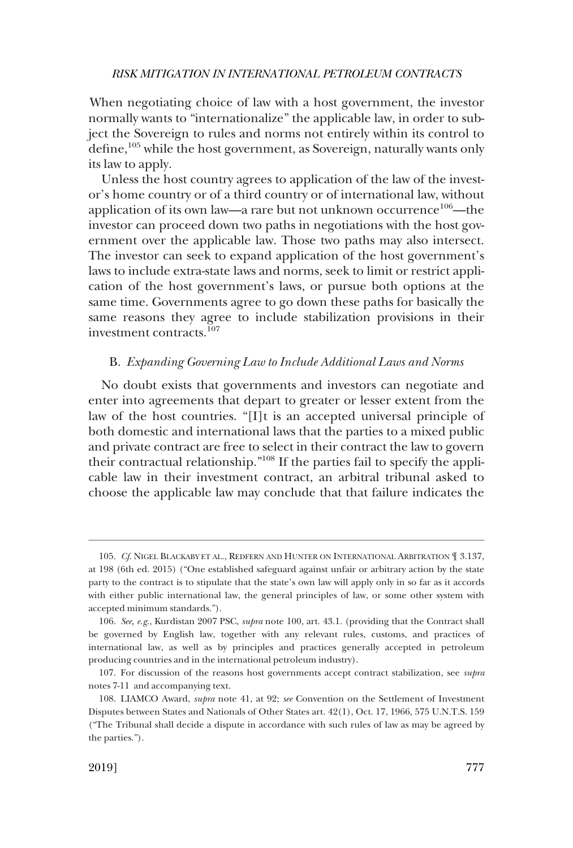<span id="page-32-0"></span>When negotiating choice of law with a host government, the investor normally wants to "internationalize" the applicable law, in order to subject the Sovereign to rules and norms not entirely within its control to define,<sup>105</sup> while the host government, as Sovereign, naturally wants only its law to apply.

Unless the host country agrees to application of the law of the investor's home country or of a third country or of international law, without application of its own law—a rare but not unknown occurrence<sup>106</sup>—the investor can proceed down two paths in negotiations with the host government over the applicable law. Those two paths may also intersect. The investor can seek to expand application of the host government's laws to include extra-state laws and norms, seek to limit or restrict application of the host government's laws, or pursue both options at the same time. Governments agree to go down these paths for basically the same reasons they agree to include stabilization provisions in their investment contracts.<sup>107</sup>

#### B. *Expanding Governing Law to Include Additional Laws and Norms*

No doubt exists that governments and investors can negotiate and enter into agreements that depart to greater or lesser extent from the law of the host countries. "[I]t is an accepted universal principle of both domestic and international laws that the parties to a mixed public and private contract are free to select in their contract the law to govern their contractual relationship."108 If the parties fail to specify the applicable law in their investment contract, an arbitral tribunal asked to choose the applicable law may conclude that that failure indicates the

<sup>105.</sup> *Cf*. NIGEL BLACKABY ET AL., REDFERN AND HUNTER ON INTERNATIONAL ARBITRATION ¶ 3.137, at 198 (6th ed. 2015) ("One established safeguard against unfair or arbitrary action by the state party to the contract is to stipulate that the state's own law will apply only in so far as it accords with either public international law, the general principles of law, or some other system with accepted minimum standards.").

<sup>106.</sup> *See, e.g*., Kurdistan 2007 PSC, *supra* note 100, art. 43.1. (providing that the Contract shall be governed by English law, together with any relevant rules, customs, and practices of international law, as well as by principles and practices generally accepted in petroleum producing countries and in the international petroleum industry).

<sup>107.</sup> For discussion of the reasons host governments accept contract stabilization, see *supra*  notes 7-11 and accompanying text.

<sup>108.</sup> LIAMCO Award, *supra* note 41, at 92; *see* Convention on the Settlement of Investment Disputes between States and Nationals of Other States art. 42(1), Oct. 17, 1966, 575 U.N.T.S. 159 ("The Tribunal shall decide a dispute in accordance with such rules of law as may be agreed by the parties.").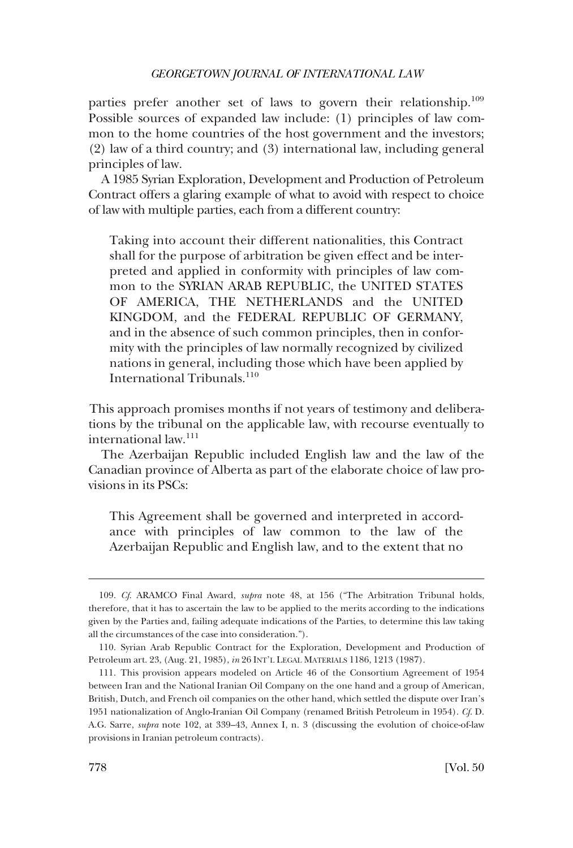parties prefer another set of laws to govern their relationship.<sup>109</sup> Possible sources of expanded law include: (1) principles of law common to the home countries of the host government and the investors; (2) law of a third country; and (3) international law, including general principles of law.

A 1985 Syrian Exploration, Development and Production of Petroleum Contract offers a glaring example of what to avoid with respect to choice of law with multiple parties, each from a different country:

Taking into account their different nationalities, this Contract shall for the purpose of arbitration be given effect and be interpreted and applied in conformity with principles of law common to the SYRIAN ARAB REPUBLIC, the UNITED STATES OF AMERICA, THE NETHERLANDS and the UNITED KINGDOM, and the FEDERAL REPUBLIC OF GERMANY, and in the absence of such common principles, then in conformity with the principles of law normally recognized by civilized nations in general, including those which have been applied by International Tribunals.<sup>110</sup>

This approach promises months if not years of testimony and deliberations by the tribunal on the applicable law, with recourse eventually to international law.<sup>111</sup>

The Azerbaijan Republic included English law and the law of the Canadian province of Alberta as part of the elaborate choice of law provisions in its PSCs:

This Agreement shall be governed and interpreted in accordance with principles of law common to the law of the Azerbaijan Republic and English law, and to the extent that no

<sup>109.</sup> *Cf*. ARAMCO Final Award, *supra* note 48, at 156 ("The Arbitration Tribunal holds, therefore, that it has to ascertain the law to be applied to the merits according to the indications given by the Parties and, failing adequate indications of the Parties, to determine this law taking all the circumstances of the case into consideration.").

<sup>110.</sup> Syrian Arab Republic Contract for the Exploration, Development and Production of Petroleum art. 23, (Aug. 21, 1985), *in* 26 INT'L LEGAL MATERIALS 1186, 1213 (1987).

<sup>111.</sup> This provision appears modeled on Article 46 of the Consortium Agreement of 1954 between Iran and the National Iranian Oil Company on the one hand and a group of American, British, Dutch, and French oil companies on the other hand, which settled the dispute over Iran's 1951 nationalization of Anglo-Iranian Oil Company (renamed British Petroleum in 1954). *Cf*. D. A.G. Sarre, *supra* note 102, at 339–43, Annex I, n. 3 (discussing the evolution of choice-of-law provisions in Iranian petroleum contracts).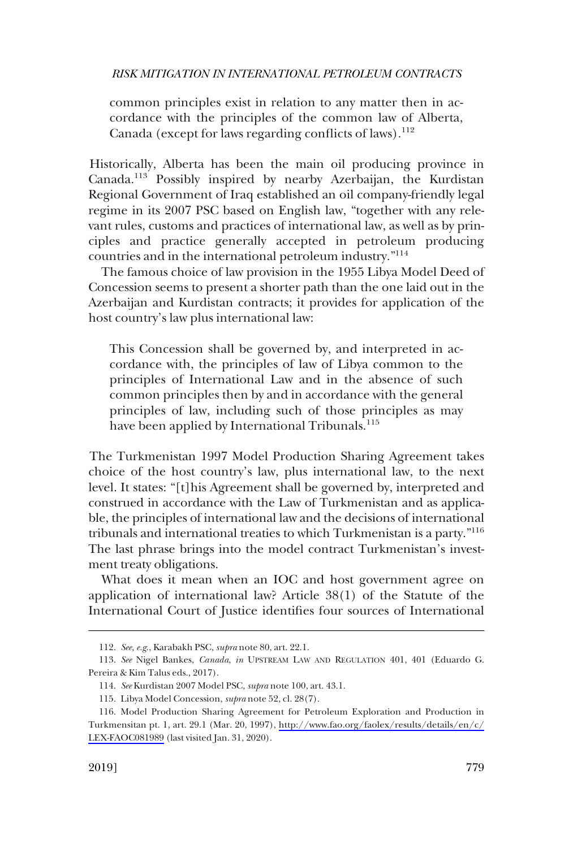common principles exist in relation to any matter then in accordance with the principles of the common law of Alberta, Canada (except for laws regarding conflicts of laws).<sup>112</sup>

Historically, Alberta has been the main oil producing province in Canada.113 Possibly inspired by nearby Azerbaijan, the Kurdistan Regional Government of Iraq established an oil company-friendly legal regime in its 2007 PSC based on English law, "together with any relevant rules, customs and practices of international law, as well as by principles and practice generally accepted in petroleum producing countries and in the international petroleum industry."<sup>114</sup>

The famous choice of law provision in the 1955 Libya Model Deed of Concession seems to present a shorter path than the one laid out in the Azerbaijan and Kurdistan contracts; it provides for application of the host country's law plus international law:

This Concession shall be governed by, and interpreted in accordance with, the principles of law of Libya common to the principles of International Law and in the absence of such common principles then by and in accordance with the general principles of law, including such of those principles as may have been applied by International Tribunals.<sup>115</sup>

The Turkmenistan 1997 Model Production Sharing Agreement takes choice of the host country's law, plus international law, to the next level. It states: "[t]his Agreement shall be governed by, interpreted and construed in accordance with the Law of Turkmenistan and as applicable, the principles of international law and the decisions of international tribunals and international treaties to which Turkmenistan is a party."116 The last phrase brings into the model contract Turkmenistan's investment treaty obligations.

What does it mean when an IOC and host government agree on application of international law? Article 38(1) of the Statute of the International Court of Justice identifes four sources of International

<sup>112.</sup> *See, e.g*., Karabakh PSC, *supra* note 80, art. 22.1.

<sup>113.</sup> *See* Nigel Bankes, *Canada*, *in* UPSTREAM LAW AND REGULATION 401, 401 (Eduardo G. Pereira & Kim Talus eds., 2017).

<sup>114.</sup> *See* Kurdistan 2007 Model PSC, *supra* note 100, art. 43.1.

<sup>115.</sup> Libya Model Concession, *supra* note 52, cl. 28(7).

<sup>116.</sup> Model Production Sharing Agreement for Petroleum Exploration and Production in Turkmensitan pt. 1, art. 29.1 (Mar. 20, 1997), [http://www.fao.org/faolex/results/details/en/c/](http://www.fao.org/faolex/results/details/en/c/LEX-FAOC081989) [LEX-FAOC081989](http://www.fao.org/faolex/results/details/en/c/LEX-FAOC081989) (last visited Jan. 31, 2020).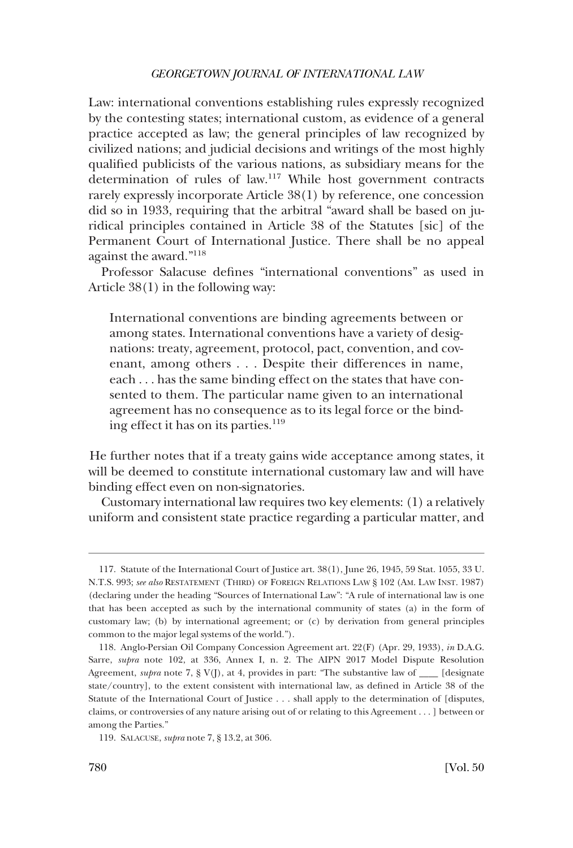Law: international conventions establishing rules expressly recognized by the contesting states; international custom, as evidence of a general practice accepted as law; the general principles of law recognized by civilized nations; and judicial decisions and writings of the most highly qualifed publicists of the various nations, as subsidiary means for the determination of rules of law.117 While host government contracts rarely expressly incorporate Article 38(1) by reference, one concession did so in 1933, requiring that the arbitral "award shall be based on juridical principles contained in Article 38 of the Statutes [sic] of the Permanent Court of International Justice. There shall be no appeal against the award."118

Professor Salacuse defnes "international conventions" as used in Article 38(1) in the following way:

International conventions are binding agreements between or among states. International conventions have a variety of designations: treaty, agreement, protocol, pact, convention, and covenant, among others . . . Despite their differences in name, each . . . has the same binding effect on the states that have consented to them. The particular name given to an international agreement has no consequence as to its legal force or the binding effect it has on its parties.<sup>119</sup>

He further notes that if a treaty gains wide acceptance among states, it will be deemed to constitute international customary law and will have binding effect even on non-signatories.

Customary international law requires two key elements: (1) a relatively uniform and consistent state practice regarding a particular matter, and

<sup>117.</sup> Statute of the International Court of Justice art. 38(1), June 26, 1945, 59 Stat. 1055, 33 U. N.T.S. 993; *see also* RESTATEMENT (THIRD) OF FOREIGN RELATIONS LAW § 102 (AM. LAW INST. 1987) (declaring under the heading "Sources of International Law": "A rule of international law is one that has been accepted as such by the international community of states (a) in the form of customary law; (b) by international agreement; or (c) by derivation from general principles common to the major legal systems of the world.").

<sup>118.</sup> Anglo-Persian Oil Company Concession Agreement art. 22(F) (Apr. 29, 1933), *in* D.A.G. Sarre, *supra* note 102, at 336, Annex I, n. 2. The AIPN 2017 Model Dispute Resolution Agreement, *supra* note 7, § V(J), at 4, provides in part: "The substantive law of \_\_\_\_ [designate state/country], to the extent consistent with international law, as defned in Article 38 of the Statute of the International Court of Justice . . . shall apply to the determination of [disputes, claims, or controversies of any nature arising out of or relating to this Agreement . . . ] between or among the Parties."

<sup>119.</sup> SALACUSE, *supra* note 7, § 13.2, at 306.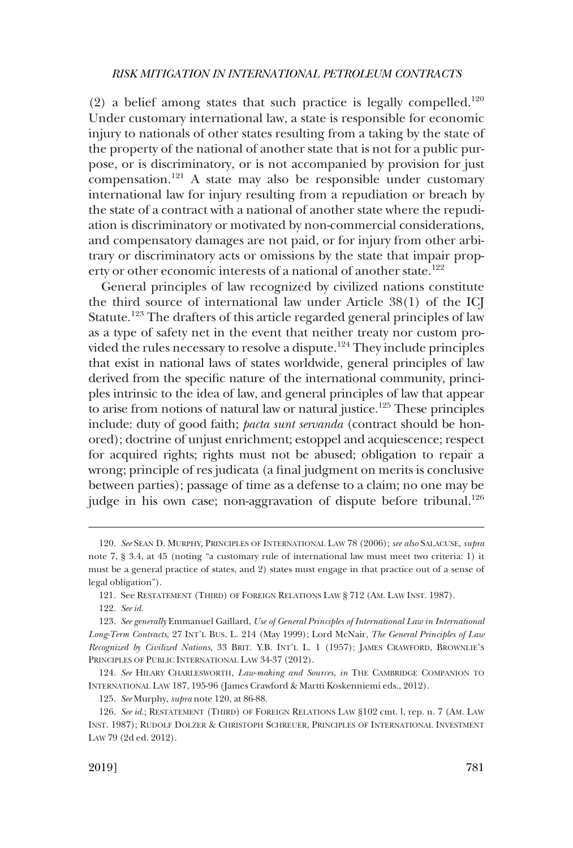(2) a belief among states that such practice is legally compelled.<sup>120</sup> Under customary international law, a state is responsible for economic injury to nationals of other states resulting from a taking by the state of the property of the national of another state that is not for a public purpose, or is discriminatory, or is not accompanied by provision for just compensation.121 A state may also be responsible under customary international law for injury resulting from a repudiation or breach by the state of a contract with a national of another state where the repudiation is discriminatory or motivated by non-commercial considerations, and compensatory damages are not paid, or for injury from other arbitrary or discriminatory acts or omissions by the state that impair property or other economic interests of a national of another state.<sup>122</sup>

General principles of law recognized by civilized nations constitute the third source of international law under Article 38(1) of the ICJ Statute.<sup>123</sup> The drafters of this article regarded general principles of law as a type of safety net in the event that neither treaty nor custom provided the rules necessary to resolve a dispute.<sup>124</sup> They include principles that exist in national laws of states worldwide, general principles of law derived from the specifc nature of the international community, principles intrinsic to the idea of law, and general principles of law that appear to arise from notions of natural law or natural justice.125 These principles include: duty of good faith; *pacta sunt servanda* (contract should be honored); doctrine of unjust enrichment; estoppel and acquiescence; respect for acquired rights; rights must not be abused; obligation to repair a wrong; principle of res judicata (a fnal judgment on merits is conclusive between parties); passage of time as a defense to a claim; no one may be judge in his own case; non-aggravation of dispute before tribunal.<sup>126</sup>

<sup>120.</sup> *See* SEAN D. MURPHY, PRINCIPLES OF INTERNATIONAL LAW 78 (2006); *see also* SALACUSE, *supra*  note 7, § 3.4, at 45 (noting "a customary rule of international law must meet two criteria: 1) it must be a general practice of states, and 2) states must engage in that practice out of a sense of legal obligation").

<sup>121.</sup> See RESTATEMENT (THIRD) OF FOREIGN RELATIONS LAW § 712 (AM. LAW INST. 1987).

<sup>122.</sup> *See id*.

<sup>123.</sup> *See generally* Emmanuel Gaillard, *Use of General Principles of International Law in International Long-Term Contracts*, 27 INT'L BUS. L. 214 (May 1999); Lord McNair, *The General Principles of Law Recognized by Civilized Nations*, 33 BRIT. Y.B. INT'L L. 1 (1957); JAMES CRAWFORD, BROWNLIE'S PRINCIPLES OF PUBLIC INTERNATIONAL LAW 34-37 (2012).

<sup>124.</sup> *See* HILARY CHARLESWORTH, *Law-making and Sources*, *in* THE CAMBRIDGE COMPANION TO INTERNATIONAL LAW 187, 195-96 (James Crawford & Martti Koskenniemi eds., 2012).

<sup>125.</sup> *See* Murphy, *supra* note 120, at 86-88.

<sup>126.</sup> *See id*.; RESTATEMENT (THIRD) OF FOREIGN RELATIONS LAW §102 cmt. l, rep. n. 7 (AM. LAW INST. 1987); RUDOLF DOLZER & CHRISTOPH SCHREUER, PRINCIPLES OF INTERNATIONAL INVESTMENT LAW 79 (2d ed. 2012).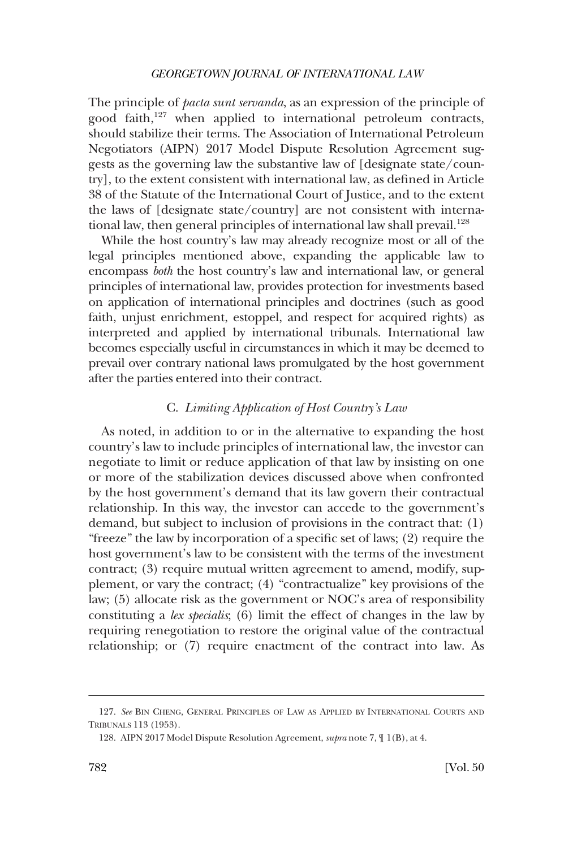<span id="page-37-0"></span>The principle of *pacta sunt servanda*, as an expression of the principle of good faith, $127$  when applied to international petroleum contracts, should stabilize their terms. The Association of International Petroleum Negotiators (AIPN) 2017 Model Dispute Resolution Agreement suggests as the governing law the substantive law of [designate state/country], to the extent consistent with international law, as defned in Article 38 of the Statute of the International Court of Justice, and to the extent the laws of [designate state/country] are not consistent with international law, then general principles of international law shall prevail.<sup>128</sup>

While the host country's law may already recognize most or all of the legal principles mentioned above, expanding the applicable law to encompass *both* the host country's law and international law, or general principles of international law, provides protection for investments based on application of international principles and doctrines (such as good faith, unjust enrichment, estoppel, and respect for acquired rights) as interpreted and applied by international tribunals. International law becomes especially useful in circumstances in which it may be deemed to prevail over contrary national laws promulgated by the host government after the parties entered into their contract.

#### C. *Limiting Application of Host Country's Law*

As noted, in addition to or in the alternative to expanding the host country's law to include principles of international law, the investor can negotiate to limit or reduce application of that law by insisting on one or more of the stabilization devices discussed above when confronted by the host government's demand that its law govern their contractual relationship. In this way, the investor can accede to the government's demand, but subject to inclusion of provisions in the contract that: (1) "freeze" the law by incorporation of a specifc set of laws; (2) require the host government's law to be consistent with the terms of the investment contract; (3) require mutual written agreement to amend, modify, supplement, or vary the contract; (4) "contractualize" key provisions of the law; (5) allocate risk as the government or NOC's area of responsibility constituting a *lex specialis*; (6) limit the effect of changes in the law by requiring renegotiation to restore the original value of the contractual relationship; or (7) require enactment of the contract into law. As

<sup>127.</sup> *See* BIN CHENG, GENERAL PRINCIPLES OF LAW AS APPLIED BY INTERNATIONAL COURTS AND TRIBUNALS 113 (1953).

<sup>128.</sup> AIPN 2017 Model Dispute Resolution Agreement, *supra* note 7, ¶ 1(B), at 4.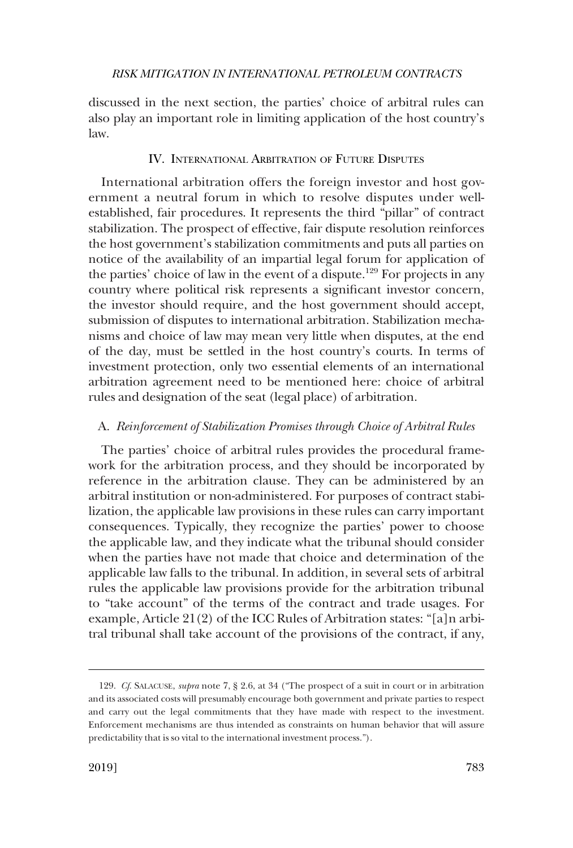<span id="page-38-0"></span>discussed in the next section, the parties' choice of arbitral rules can also play an important role in limiting application of the host country's law.

## IV. INTERNATIONAL ARBITRATION OF FUTURE DISPUTES

International arbitration offers the foreign investor and host government a neutral forum in which to resolve disputes under wellestablished, fair procedures. It represents the third "pillar" of contract stabilization. The prospect of effective, fair dispute resolution reinforces the host government's stabilization commitments and puts all parties on notice of the availability of an impartial legal forum for application of the parties' choice of law in the event of a dispute.<sup>129</sup> For projects in any country where political risk represents a signifcant investor concern, the investor should require, and the host government should accept, submission of disputes to international arbitration. Stabilization mechanisms and choice of law may mean very little when disputes, at the end of the day, must be settled in the host country's courts. In terms of investment protection, only two essential elements of an international arbitration agreement need to be mentioned here: choice of arbitral rules and designation of the seat (legal place) of arbitration.

## A. *Reinforcement of Stabilization Promises through Choice of Arbitral Rules*

The parties' choice of arbitral rules provides the procedural framework for the arbitration process, and they should be incorporated by reference in the arbitration clause. They can be administered by an arbitral institution or non-administered. For purposes of contract stabilization, the applicable law provisions in these rules can carry important consequences. Typically, they recognize the parties' power to choose the applicable law, and they indicate what the tribunal should consider when the parties have not made that choice and determination of the applicable law falls to the tribunal. In addition, in several sets of arbitral rules the applicable law provisions provide for the arbitration tribunal to "take account" of the terms of the contract and trade usages. For example, Article 21(2) of the ICC Rules of Arbitration states: "[a]n arbitral tribunal shall take account of the provisions of the contract, if any,

<sup>129.</sup> *Cf*. SALACUSE, *supra* note 7, § 2.6, at 34 ("The prospect of a suit in court or in arbitration and its associated costs will presumably encourage both government and private parties to respect and carry out the legal commitments that they have made with respect to the investment. Enforcement mechanisms are thus intended as constraints on human behavior that will assure predictability that is so vital to the international investment process.").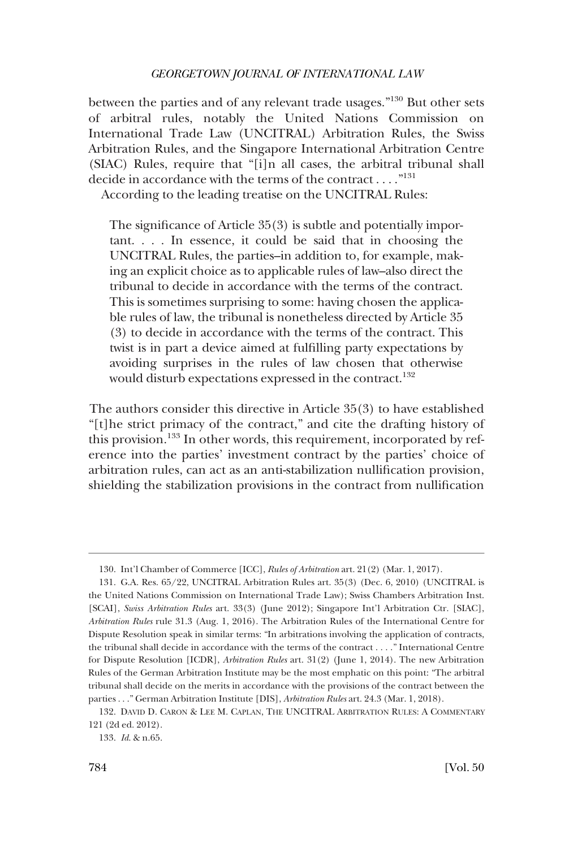between the parties and of any relevant trade usages."130 But other sets of arbitral rules, notably the United Nations Commission on International Trade Law (UNCITRAL) Arbitration Rules, the Swiss Arbitration Rules, and the Singapore International Arbitration Centre (SIAC) Rules, require that "[i]n all cases, the arbitral tribunal shall decide in accordance with the terms of the contract . . . ."131

According to the leading treatise on the UNCITRAL Rules:

The signifcance of Article 35(3) is subtle and potentially important. . . . In essence, it could be said that in choosing the UNCITRAL Rules, the parties–in addition to, for example, making an explicit choice as to applicable rules of law–also direct the tribunal to decide in accordance with the terms of the contract. This is sometimes surprising to some: having chosen the applicable rules of law, the tribunal is nonetheless directed by Article 35 (3) to decide in accordance with the terms of the contract. This twist is in part a device aimed at fulflling party expectations by avoiding surprises in the rules of law chosen that otherwise would disturb expectations expressed in the contract.<sup>132</sup>

The authors consider this directive in Article 35(3) to have established "[t]he strict primacy of the contract," and cite the drafting history of this provision.<sup>133</sup> In other words, this requirement, incorporated by reference into the parties' investment contract by the parties' choice of arbitration rules, can act as an anti-stabilization nullifcation provision, shielding the stabilization provisions in the contract from nullifcation

<sup>130.</sup> Int'l Chamber of Commerce [ICC], *Rules of Arbitration* art. 21(2) (Mar. 1, 2017).

<sup>131.</sup> G.A. Res. 65/22, UNCITRAL Arbitration Rules art. 35(3) (Dec. 6, 2010) (UNCITRAL is the United Nations Commission on International Trade Law); Swiss Chambers Arbitration Inst. [SCAI], *Swiss Arbitration Rules* art. 33(3) (June 2012); Singapore Int'l Arbitration Ctr. [SIAC], *Arbitration Rules* rule 31.3 (Aug. 1, 2016). The Arbitration Rules of the International Centre for Dispute Resolution speak in similar terms: "In arbitrations involving the application of contracts, the tribunal shall decide in accordance with the terms of the contract . . . ." International Centre for Dispute Resolution [ICDR], *Arbitration Rules* art. 31(2) (June 1, 2014). The new Arbitration Rules of the German Arbitration Institute may be the most emphatic on this point: "The arbitral tribunal shall decide on the merits in accordance with the provisions of the contract between the parties . . ." German Arbitration Institute [DIS], *Arbitration Rules* art. 24.3 (Mar. 1, 2018).

<sup>132.</sup> DAVID D. CARON & LEE M. CAPLAN, THE UNCITRAL ARBITRATION RULES: A COMMENTARY 121 (2d ed. 2012).

<sup>133.</sup> *Id*. & n.65.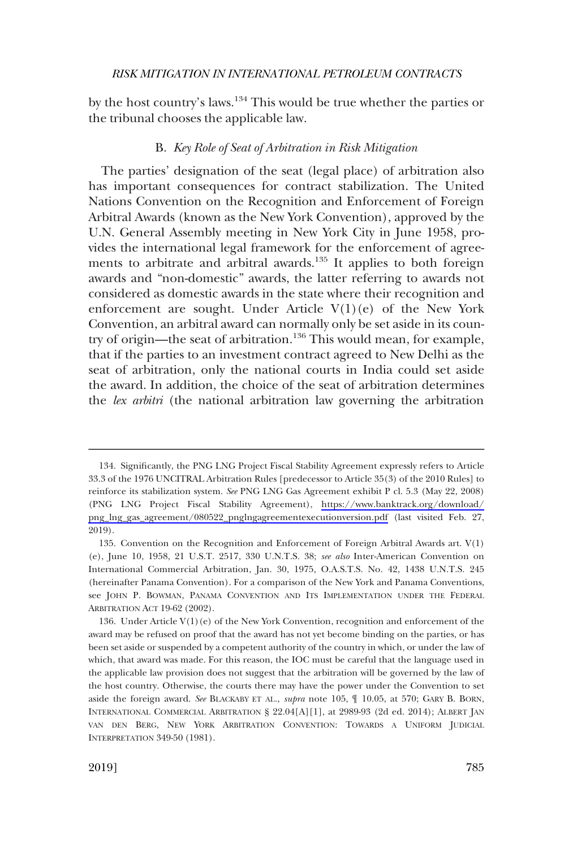<span id="page-40-0"></span>by the host country's laws.<sup>134</sup> This would be true whether the parties or the tribunal chooses the applicable law.

## B. *Key Role of Seat of Arbitration in Risk Mitigation*

The parties' designation of the seat (legal place) of arbitration also has important consequences for contract stabilization. The United Nations Convention on the Recognition and Enforcement of Foreign Arbitral Awards (known as the New York Convention), approved by the U.N. General Assembly meeting in New York City in June 1958, provides the international legal framework for the enforcement of agreements to arbitrate and arbitral awards.<sup>135</sup> It applies to both foreign awards and "non-domestic" awards, the latter referring to awards not considered as domestic awards in the state where their recognition and enforcement are sought. Under Article  $V(1)(e)$  of the New York Convention, an arbitral award can normally only be set aside in its country of origin—the seat of arbitration.<sup>136</sup> This would mean, for example, that if the parties to an investment contract agreed to New Delhi as the seat of arbitration, only the national courts in India could set aside the award. In addition, the choice of the seat of arbitration determines the *lex arbitri* (the national arbitration law governing the arbitration

<sup>134.</sup> Significantly, the PNG LNG Project Fiscal Stability Agreement expressly refers to Article 33.3 of the 1976 UNCITRAL Arbitration Rules [predecessor to Article 35(3) of the 2010 Rules] to reinforce its stabilization system. *See* PNG LNG Gas Agreement exhibit P cl. 5.3 (May 22, 2008) (PNG LNG Project Fiscal Stability Agreement), [https://www.banktrack.org/download/](https://www.banktrack.org/download/png_lng_gas_agreement/080522_pnglngagreementexecutionversion.pdf)  [png\\_lng\\_gas\\_agreement/080522\\_pnglngagreementexecutionversion.pdf](https://www.banktrack.org/download/png_lng_gas_agreement/080522_pnglngagreementexecutionversion.pdf) (last visited Feb. 27, 2019).

<sup>135.</sup> Convention on the Recognition and Enforcement of Foreign Arbitral Awards art. V(1) (e), June 10, 1958, 21 U.S.T. 2517, 330 U.N.T.S. 38; *see also* Inter-American Convention on International Commercial Arbitration, Jan. 30, 1975, O.A.S.T.S. No. 42, 1438 U.N.T.S. 245 (hereinafter Panama Convention). For a comparison of the New York and Panama Conventions, see JOHN P. BOWMAN, PANAMA CONVENTION AND ITS IMPLEMENTATION UNDER THE FEDERAL ARBITRATION ACT 19-62 (2002).

<sup>136.</sup> Under Article  $V(1)(e)$  of the New York Convention, recognition and enforcement of the award may be refused on proof that the award has not yet become binding on the parties, or has been set aside or suspended by a competent authority of the country in which, or under the law of which, that award was made. For this reason, the IOC must be careful that the language used in the applicable law provision does not suggest that the arbitration will be governed by the law of the host country. Otherwise, the courts there may have the power under the Convention to set aside the foreign award. *See* BLACKABY ET AL., *supra* note 105, ¶ 10.05, at 570; GARY B. BORN, INTERNATIONAL COMMERCIAL ARBITRATION § 22.04[A][1], at 2989-93 (2d ed. 2014); ALBERT JAN VAN DEN BERG, NEW YORK ARBITRATION CONVENTION: TOWARDS A UNIFORM JUDICIAL INTERPRETATION 349-50 (1981).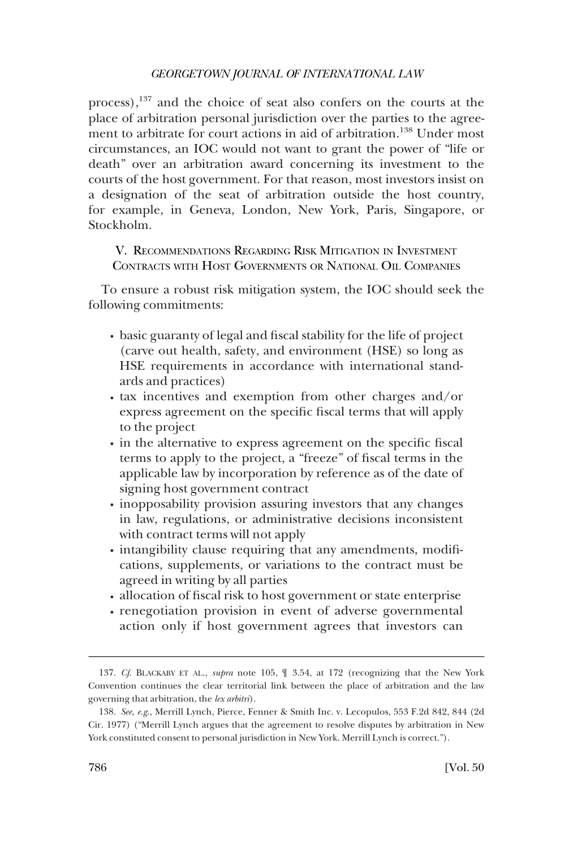<span id="page-41-0"></span>process),<sup>137</sup> and the choice of seat also confers on the courts at the place of arbitration personal jurisdiction over the parties to the agreement to arbitrate for court actions in aid of arbitration.<sup>138</sup> Under most circumstances, an IOC would not want to grant the power of "life or death" over an arbitration award concerning its investment to the courts of the host government. For that reason, most investors insist on a designation of the seat of arbitration outside the host country, for example, in Geneva, London, New York, Paris, Singapore, or Stockholm.

V. RECOMMENDATIONS REGARDING RISK MITIGATION IN INVESTMENT CONTRACTS WITH HOST GOVERNMENTS OR NATIONAL OIL COMPANIES

To ensure a robust risk mitigation system, the IOC should seek the following commitments:

- � basic guaranty of legal and fscal stability for the life of project (carve out health, safety, and environment (HSE) so long as HSE requirements in accordance with international standards and practices)
- � tax incentives and exemption from other charges and/or express agreement on the specifc fscal terms that will apply to the project
- $\cdot$  in the alternative to express agreement on the specific fiscal terms to apply to the project, a "freeze" of fscal terms in the applicable law by incorporation by reference as of the date of signing host government contract
- inopposability provision assuring investors that any changes in law, regulations, or administrative decisions inconsistent with contract terms will not apply
- intangibility clause requiring that any amendments, modifications, supplements, or variations to the contract must be agreed in writing by all parties
- allocation of fiscal risk to host government or state enterprise
- � renegotiation provision in event of adverse governmental action only if host government agrees that investors can

<sup>137.</sup> *Cf*. BLACKABY ET AL., *supra* note 105, ¶ 3.54, at 172 (recognizing that the New York Convention continues the clear territorial link between the place of arbitration and the law governing that arbitration, the *lex arbitri*).

<sup>138.</sup> *See, e.g*., Merrill Lynch, Pierce, Fenner & Smith Inc. v. Lecopulos, 553 F.2d 842, 844 (2d Cir. 1977) ("Merrill Lynch argues that the agreement to resolve disputes by arbitration in New York constituted consent to personal jurisdiction in New York. Merrill Lynch is correct.").